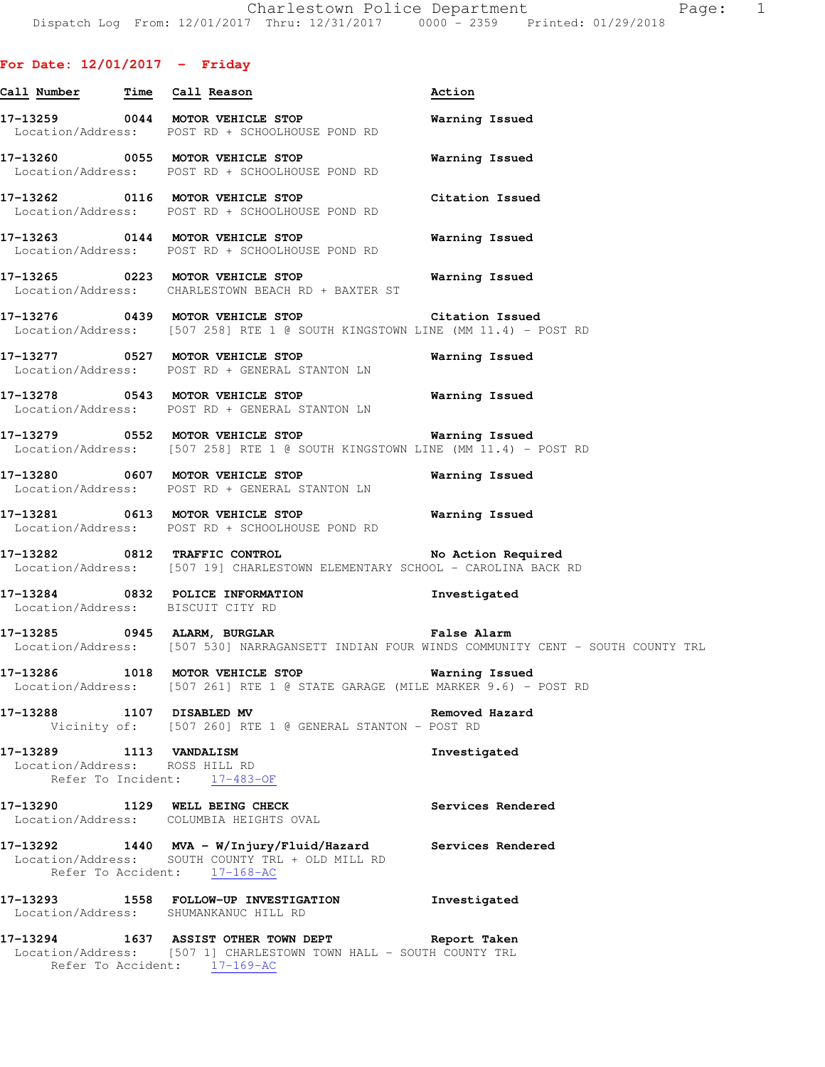# **For Date: 12/01/2017 - Friday**

| Call Number Time Call Reason                              |                                                                                                                                                         | Action                                                                                       |
|-----------------------------------------------------------|---------------------------------------------------------------------------------------------------------------------------------------------------------|----------------------------------------------------------------------------------------------|
|                                                           | 17-13259 0044 MOTOR VEHICLE STOP<br>Location/Address: POST RD + SCHOOLHOUSE POND RD                                                                     | Warning Issued                                                                               |
|                                                           | 17-13260 0055 MOTOR VEHICLE STOP<br>Location/Address: POST RD + SCHOOLHOUSE POND RD                                                                     | Warning Issued                                                                               |
|                                                           | 17-13262 0116 MOTOR VEHICLE STOP<br>Location/Address: POST RD + SCHOOLHOUSE POND RD                                                                     | Citation Issued                                                                              |
|                                                           | 17-13263 0144 MOTOR VEHICLE STOP<br>Location/Address: POST RD + SCHOOLHOUSE POND RD                                                                     | Warning Issued                                                                               |
|                                                           | 17-13265 0223 MOTOR VEHICLE STOP 6 Warning Issued<br>Location/Address: CHARLESTOWN BEACH RD + BAXTER ST                                                 |                                                                                              |
|                                                           | 17-13276 0439 MOTOR VEHICLE STOP Citation Issued<br>Location/Address: [507 258] RTE 1 @ SOUTH KINGSTOWN LINE (MM 11.4) - POST RD                        |                                                                                              |
|                                                           | 17-13277 0527 MOTOR VEHICLE STOP<br>Location/Address: POST RD + GENERAL STANTON LN                                                                      | Warning Issued                                                                               |
|                                                           | 17-13278 0543 MOTOR VEHICLE STOP<br>Location/Address: POST RD + GENERAL STANTON LN                                                                      | Warning Issued                                                                               |
|                                                           | 17-13279 0552 MOTOR VEHICLE STOP 6 Warning Issued<br>Location/Address: [507 258] RTE 1 @ SOUTH KINGSTOWN LINE (MM 11.4) - POST RD                       |                                                                                              |
|                                                           | 17-13280 0607 MOTOR VEHICLE STOP<br>Location/Address: POST RD + GENERAL STANTON LN                                                                      | Warning Issued                                                                               |
|                                                           | 17-13281 0613 MOTOR VEHICLE STOP<br>Location/Address: POST RD + SCHOOLHOUSE POND RD                                                                     | <b>Warning Issued</b>                                                                        |
|                                                           | 17-13282 0812 TRAFFIC CONTROL No Action Required<br>Location/Address: [507 19] CHARLESTOWN ELEMENTARY SCHOOL - CAROLINA BACK RD                         |                                                                                              |
| Location/Address: BISCUIT CITY RD                         | 17-13284 0832 POLICE INFORMATION                                                                                                                        | Investigated                                                                                 |
|                                                           | 17-13285 0945 ALARM, BURGLAR CHART False Alarm                                                                                                          | Location/Address: [507 530] NARRAGANSETT INDIAN FOUR WINDS COMMUNITY CENT - SOUTH COUNTY TRL |
|                                                           | 17-13286 1018 MOTOR VEHICLE STOP<br>Location/Address: [507 261] RTE 1 @ STATE GARAGE (MILE MARKER 9.6) - POST RD                                        | <b>Warning Issued</b>                                                                        |
| 17-13288 1107 DISABLED MV                                 | Vicinity of: [507 260] RTE 1 @ GENERAL STANTON - POST RD                                                                                                | Removed Hazard                                                                               |
| 17-13289 1113 VANDALISM<br>Location/Address: ROSS HILL RD | Refer To Incident: 17-483-OF                                                                                                                            | Investigated                                                                                 |
|                                                           | 17-13290 1129 WELL BEING CHECK<br>Location/Address: COLUMBIA HEIGHTS OVAL                                                                               | Services Rendered                                                                            |
|                                                           | 17-13292 1440 MVA - W/Injury/Fluid/Hazard Services Rendered<br>Location/Address: SOUTH COUNTY TRL + OLD MILL RD<br>Refer To Accident: 17-168-AC         |                                                                                              |
|                                                           | 17-13293 1558 FOLLOW-UP INVESTIGATION<br>Location/Address: SHUMANKANUC HILL RD                                                                          | Investigated                                                                                 |
|                                                           | 17-13294 1637 ASSIST OTHER TOWN DEPT Report Taken<br>Location/Address: [507 1] CHARLESTOWN TOWN HALL - SOUTH COUNTY TRL<br>Refer To Accident: 17-169-AC |                                                                                              |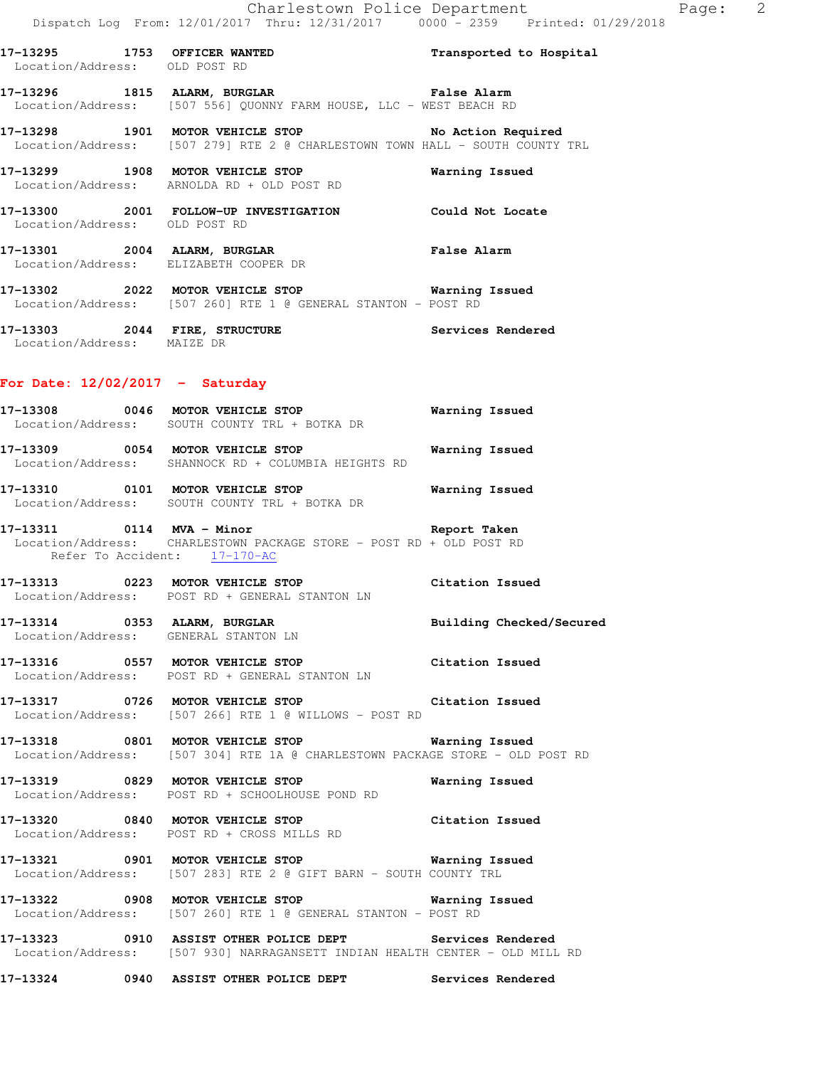**17-13295 1753 OFFICER WANTED Transported to Hospital**  Location/Address: OLD POST RD

# **17-13296 1815 ALARM, BURGLAR False Alarm**  Location/Address: [507 556] QUONNY FARM HOUSE, LLC - WEST BEACH RD

**17-13298 1901 MOTOR VEHICLE STOP No Action Required**  Location/Address: [507 279] RTE 2 @ CHARLESTOWN TOWN HALL - SOUTH COUNTY TRL

**17-13299 1908 MOTOR VEHICLE STOP Warning Issued**  Location/Address: ARNOLDA RD + OLD POST RD

**17-13300 2001 FOLLOW-UP INVESTIGATION Could Not Locate**  Location/Address: OLD POST RD

**17-13301 2004 ALARM, BURGLAR False Alarm**  Location/Address: ELIZABETH COOPER DR

**17-13302 2022 MOTOR VEHICLE STOP Warning Issued**  Location/Address: [507 260] RTE 1 @ GENERAL STANTON - POST RD

**17-13303 2044 FIRE, STRUCTURE Services Rendered**  Location/Address: MAIZE DR

### **For Date: 12/02/2017 - Saturday**

**17-13308 0046 MOTOR VEHICLE STOP Warning Issued**  Location/Address: SOUTH COUNTY TRL + BOTKA DR

**17-13309 0054 MOTOR VEHICLE STOP Warning Issued**  Location/Address: SHANNOCK RD + COLUMBIA HEIGHTS RD

**17-13310 0101 MOTOR VEHICLE STOP Warning Issued**  Location/Address: SOUTH COUNTY TRL + BOTKA DR

**17-13311 0114 MVA - Minor Report Taken**  Location/Address: CHARLESTOWN PACKAGE STORE - POST RD + OLD POST RD Refer To Accident: 17-170-AC

**17-13313 0223 MOTOR VEHICLE STOP Citation Issued**  Location/Address: POST RD + GENERAL STANTON LN

**17-13314 0353 ALARM, BURGLAR Building Checked/Secured**  Location/Address: GENERAL STANTON LN

**17-13316 0557 MOTOR VEHICLE STOP Citation Issued**  Location/Address: POST RD + GENERAL STANTON LN

**17-13317 0726 MOTOR VEHICLE STOP Citation Issued**  Location/Address: [507 266] RTE 1 @ WILLOWS - POST RD

**17-13318 0801 MOTOR VEHICLE STOP Warning Issued**  Location/Address: [507 304] RTE 1A @ CHARLESTOWN PACKAGE STORE - OLD POST RD

**17-13319 0829 MOTOR VEHICLE STOP Warning Issued**  Location/Address: POST RD + SCHOOLHOUSE POND RD

**17-13320 0840 MOTOR VEHICLE STOP Citation Issued**  Location/Address: POST RD + CROSS MILLS RD

**17-13321 0901 MOTOR VEHICLE STOP Warning Issued**  Location/Address: [507 283] RTE 2 @ GIFT BARN - SOUTH COUNTY TRL

**17-13322 0908 MOTOR VEHICLE STOP Warning Issued**  Location/Address: [507 260] RTE 1 @ GENERAL STANTON - POST RD

**17-13323 0910 ASSIST OTHER POLICE DEPT Services Rendered**  Location/Address: [507 930] NARRAGANSETT INDIAN HEALTH CENTER - OLD MILL RD

**17-13324 0940 ASSIST OTHER POLICE DEPT Services Rendered**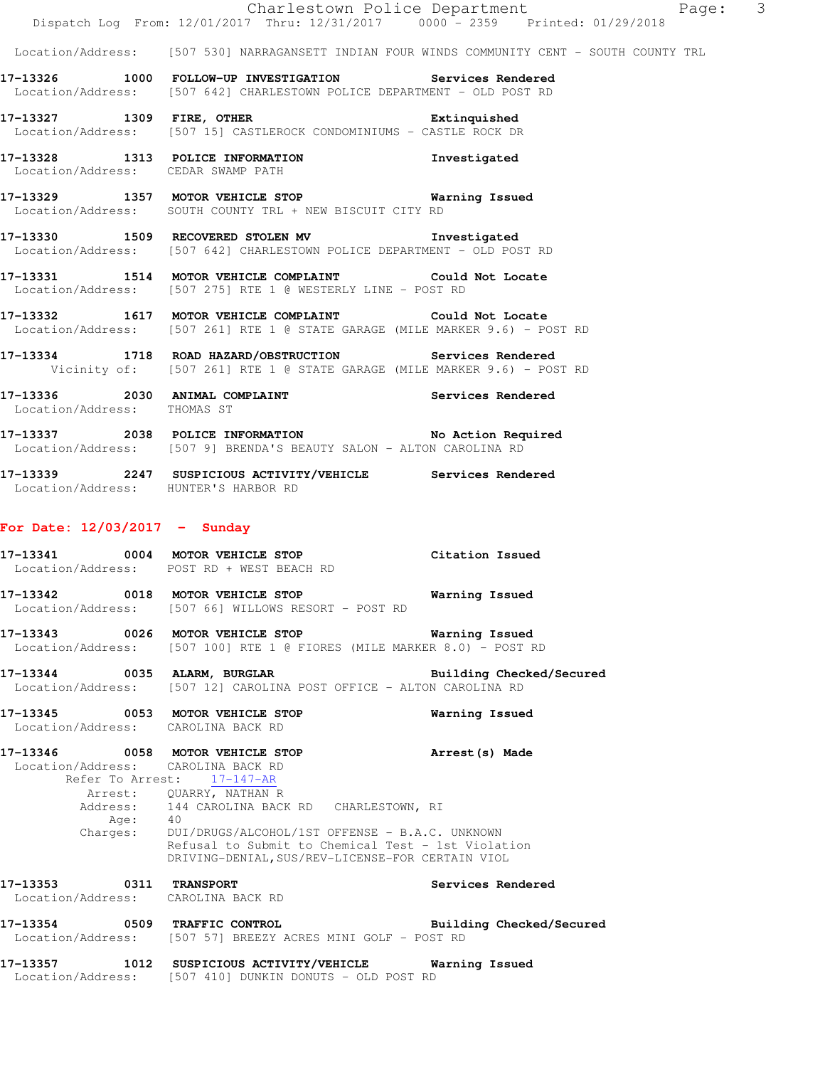|                                                                        | Dispatch Log From: 12/01/2017 Thru: 12/31/2017 0000 - 2359 Printed: 01/29/2018                                                                                                                                                                                                                                         | Charlestown Police Department Page:                                                          | $\overline{\mathbf{3}}$ |
|------------------------------------------------------------------------|------------------------------------------------------------------------------------------------------------------------------------------------------------------------------------------------------------------------------------------------------------------------------------------------------------------------|----------------------------------------------------------------------------------------------|-------------------------|
|                                                                        |                                                                                                                                                                                                                                                                                                                        | Location/Address: [507 530] NARRAGANSETT INDIAN FOUR WINDS COMMUNITY CENT - SOUTH COUNTY TRL |                         |
|                                                                        | 17-13326 1000 FOLLOW-UP INVESTIGATION Services Rendered<br>Location/Address: [507 642] CHARLESTOWN POLICE DEPARTMENT - OLD POST RD                                                                                                                                                                                     |                                                                                              |                         |
|                                                                        | 17-13327 1309 FIRE, OTHER 2001 2003 Extinquished<br>Location/Address: [507 15] CASTLEROCK CONDOMINIUMS - CASTLE ROCK DR                                                                                                                                                                                                |                                                                                              |                         |
| Location/Address: CEDAR SWAMP PATH                                     | 17-13328 1313 POLICE INFORMATION Investigated                                                                                                                                                                                                                                                                          |                                                                                              |                         |
|                                                                        | 17-13329 1357 MOTOR VEHICLE STOP 6 Warning Issued<br>Location/Address: SOUTH COUNTY TRL + NEW BISCUIT CITY RD                                                                                                                                                                                                          |                                                                                              |                         |
|                                                                        | 17-13330 1509 RECOVERED STOLEN MV 1nvestigated<br>Location/Address: [507 642] CHARLESTOWN POLICE DEPARTMENT - OLD POST RD                                                                                                                                                                                              |                                                                                              |                         |
|                                                                        | 17-13331 1514 MOTOR VEHICLE COMPLAINT Could Not Locate<br>Location/Address: [507 275] RTE 1 @ WESTERLY LINE - POST RD                                                                                                                                                                                                  |                                                                                              |                         |
|                                                                        | 17-13332 1617 MOTOR VEHICLE COMPLAINT Could Not Locate<br>Location/Address: [507 261] RTE 1 @ STATE GARAGE (MILE MARKER 9.6) - POST RD                                                                                                                                                                                 |                                                                                              |                         |
|                                                                        | 17-13334 1718 ROAD HAZARD/OBSTRUCTION Services Rendered<br>Vicinity of: [507 261] RTE 1 @ STATE GARAGE (MILE MARKER 9.6) - POST RD                                                                                                                                                                                     |                                                                                              |                         |
| Location/Address: THOMAS ST                                            | 17-13336 2030 ANIMAL COMPLAINT Services Rendered                                                                                                                                                                                                                                                                       |                                                                                              |                         |
|                                                                        | 17-13337 2038 POLICE INFORMATION No Action Required<br>Location/Address: [507 9] BRENDA'S BEAUTY SALON - ALTON CAROLINA RD                                                                                                                                                                                             |                                                                                              |                         |
| Location/Address: HUNTER'S HARBOR RD                                   | 17-13339 2247 SUSPICIOUS ACTIVITY/VEHICLE Services Rendered                                                                                                                                                                                                                                                            |                                                                                              |                         |
| For Date: $12/03/2017 -$ Sunday                                        |                                                                                                                                                                                                                                                                                                                        |                                                                                              |                         |
|                                                                        | 17-13341 0004 MOTOR VEHICLE STOP Citation Issued<br>Location/Address: POST RD + WEST BEACH RD                                                                                                                                                                                                                          |                                                                                              |                         |
|                                                                        | 17-13342 0018 MOTOR VEHICLE STOP<br>Location/Address: [507 66] WILLOWS RESORT - POST RD                                                                                                                                                                                                                                | Warning Issued                                                                               |                         |
|                                                                        | 17-13343 0026 MOTOR VEHICLE STOP<br>Location/Address: [507 100] RTE 1 @ FIORES (MILE MARKER 8.0) - POST RD                                                                                                                                                                                                             | Warning Issued                                                                               |                         |
|                                                                        | 17-13344 0035 ALARM, BURGLAR<br>Location/Address: [507 12] CAROLINA POST OFFICE - ALTON CAROLINA RD                                                                                                                                                                                                                    | Building Checked/Secured                                                                     |                         |
| 17-13345 0053 MOTOR VEHICLE STOP<br>Location/Address: CAROLINA BACK RD |                                                                                                                                                                                                                                                                                                                        | Warning Issued                                                                               |                         |
| Location/Address: CAROLINA BACK RD<br>Age:                             | 17-13346 0058 MOTOR VEHICLE STOP<br>Refer To Arrest: 17-147-AR<br>Arrest: QUARRY, NATHAN R<br>Address: 144 CAROLINA BACK RD CHARLESTOWN, RI<br>40<br>Charges: DUI/DRUGS/ALCOHOL/1ST OFFENSE - B.A.C. UNKNOWN<br>Refusal to Submit to Chemical Test - 1st Violation<br>DRIVING-DENIAL, SUS/REV-LICENSE-FOR CERTAIN VIOL | Arrest (s) Made                                                                              |                         |
| 17-13353 0311 TRANSPORT<br>Location/Address: CAROLINA BACK RD          |                                                                                                                                                                                                                                                                                                                        | Services Rendered                                                                            |                         |
|                                                                        | 17-13354 0509 TRAFFIC CONTROL<br>Location/Address: [507 57] BREEZY ACRES MINI GOLF - POST RD                                                                                                                                                                                                                           | Building Checked/Secured                                                                     |                         |
|                                                                        | 17-13357 1012 SUSPICIOUS ACTIVITY/VEHICLE Warning Issued<br>Location/Address: [507 410] DUNKIN DONUTS - OLD POST RD                                                                                                                                                                                                    |                                                                                              |                         |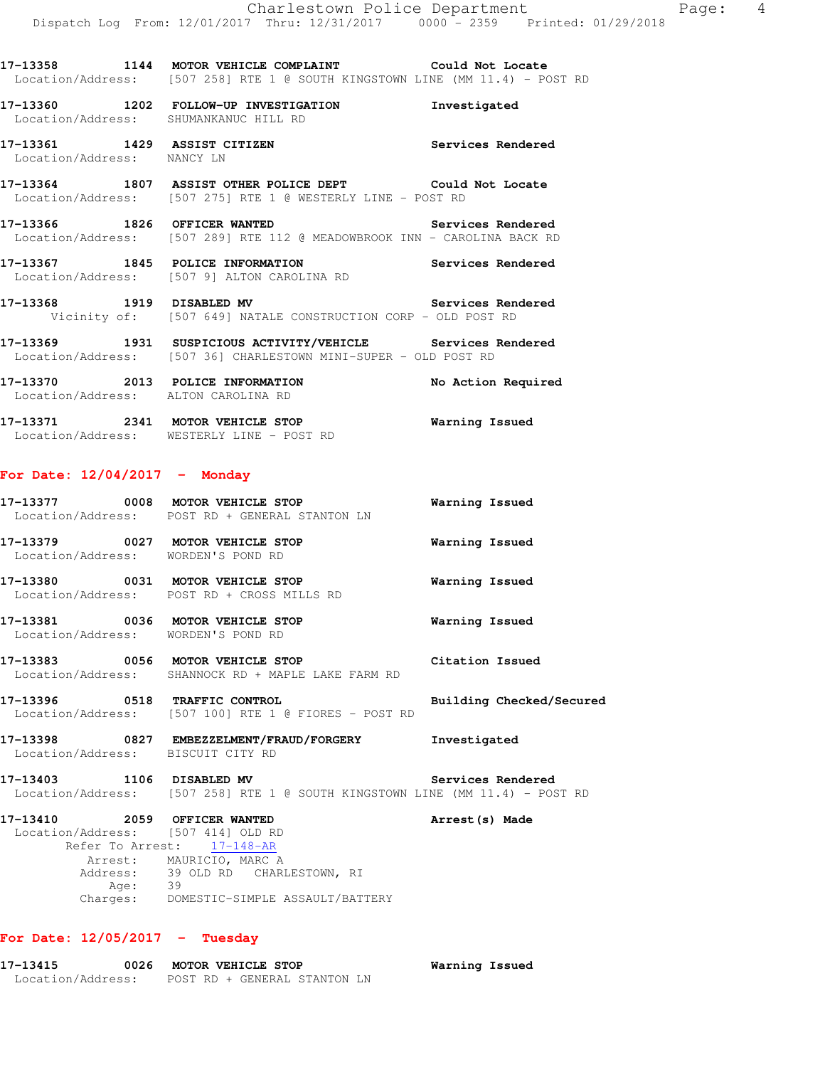**17-13358 1144 MOTOR VEHICLE COMPLAINT Could Not Locate**  Location/Address: [507 258] RTE 1 @ SOUTH KINGSTOWN LINE (MM 11.4) - POST RD

**17-13360 1202 FOLLOW-UP INVESTIGATION Investigated**  Location/Address: SHUMANKANUC HILL RD **17-13361 1429 ASSIST CITIZEN Services Rendered**  Location/Address: NANCY LN **17-13364 1807 ASSIST OTHER POLICE DEPT Could Not Locate**  Location/Address: [507 275] RTE 1 @ WESTERLY LINE - POST RD

**17-13366 1826 OFFICER WANTED Services Rendered**  Location/Address: [507 289] RTE 112 @ MEADOWBROOK INN - CAROLINA BACK RD

**17-13367 1845 POLICE INFORMATION Services Rendered**  Location/Address: [507 9] ALTON CAROLINA RD

**17-13368 1919 DISABLED MV Services Rendered**  Vicinity of: [507 649] NATALE CONSTRUCTION CORP - OLD POST RD

**17-13369 1931 SUSPICIOUS ACTIVITY/VEHICLE Services Rendered**  Location/Address: [507 36] CHARLESTOWN MINI-SUPER - OLD POST RD

**17-13370 2013 POLICE INFORMATION No Action Required**  Location/Address: ALTON CAROLINA RD

**17-13371 2341 MOTOR VEHICLE STOP Warning Issued**  Location/Address: WESTERLY LINE - POST RD

### **For Date: 12/04/2017 - Monday**

|                                    | 17-13377 0008 MOTOR VEHICLE STOP<br>Location/Address: POST RD + GENERAL STANTON LN                                          | Warning Issued           |
|------------------------------------|-----------------------------------------------------------------------------------------------------------------------------|--------------------------|
| Location/Address: WORDEN'S POND RD | 17-13379 0027 MOTOR VEHICLE STOP                                                                                            | Warning Issued           |
|                                    | 17-13380 0031 MOTOR VEHICLE STOP<br>Location/Address: POST RD + CROSS MILLS RD                                              | <b>Warning Issued</b>    |
| Location/Address: WORDEN'S POND RD | 17-13381 0036 MOTOR VEHICLE STOP                                                                                            | Warning Issued           |
|                                    | 17-13383 0056 MOTOR VEHICLE STOP 6 Citation Issued<br>Location/Address: SHANNOCK RD + MAPLE LAKE FARM RD                    |                          |
|                                    | 17-13396 0518 TRAFFIC CONTROL<br>Location/Address: [507 100] RTE 1 @ FIORES - POST RD                                       | Building Checked/Secured |
| Location/Address: BISCUIT CITY RD  | 17-13398 6827 EMBEZZELMENT/FRAUD/FORGERY Investigated                                                                       |                          |
|                                    | 17-13403 1106 DISABLED MV Services Rendered<br>Location/Address: [507 258] RTE 1 @ SOUTH KINGSTOWN LINE (MM 11.4) - POST RD |                          |
| 17-13410 2059 OFFICER WANTED       |                                                                                                                             | Arrest (s) Made          |

 Location/Address: [507 414] OLD RD Refer To Arrest: 17-148-AR Arrest: MAURICIO, MARC A Address: 39 OLD RD CHARLESTOWN, RI Age: 39 Charges: DOMESTIC-SIMPLE ASSAULT/BATTERY

# **For Date: 12/05/2017 - Tuesday**

**17-13415 0026 MOTOR VEHICLE STOP Warning Issued**  Location/Address: POST RD + GENERAL STANTON LN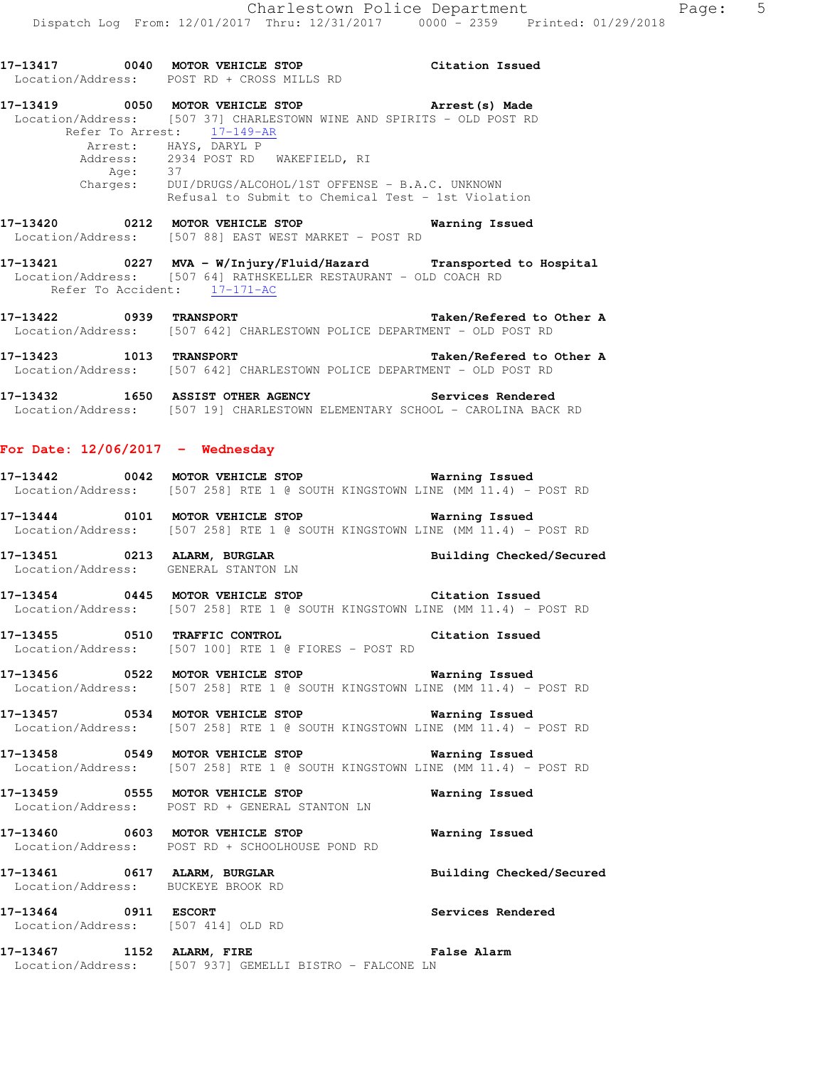**17-13417 0040 MOTOR VEHICLE STOP Citation Issued**  Location/Address: POST RD + CROSS MILLS RD **17-13419 0050 MOTOR VEHICLE STOP Arrest(s) Made**  Location/Address: [507 37] CHARLESTOWN WINE AND SPIRITS - OLD POST RD Refer To Arrest: 17-149-AR Arrest: HAYS, DARYL P Address: 2934 POST RD WAKEFIELD, RI Age: 37 Charges: DUI/DRUGS/ALCOHOL/1ST OFFENSE - B.A.C. UNKNOWN Refusal to Submit to Chemical Test - 1st Violation **17-13420 0212 MOTOR VEHICLE STOP Warning Issued**  Location/Address: [507 88] EAST WEST MARKET - POST RD **17-13421 0227 MVA - W/Injury/Fluid/Hazard Transported to Hospital**  Location/Address: [507 64] RATHSKELLER RESTAURANT - OLD COACH RD Refer To Accident:  $\frac{17-171-AC}{2}$ **17-13422 0939 TRANSPORT Taken/Refered to Other A**  Location/Address: [507 642] CHARLESTOWN POLICE DEPARTMENT - OLD POST RD **17-13423 1013 TRANSPORT Taken/Refered to Other A**  Location/Address: [507 642] CHARLESTOWN POLICE DEPARTMENT - OLD POST RD **17-13432 1650 ASSIST OTHER AGENCY Services Rendered**  Location/Address: [507 19] CHARLESTOWN ELEMENTARY SCHOOL - CAROLINA BACK RD **For Date: 12/06/2017 - Wednesday 17-13442 0042 MOTOR VEHICLE STOP Warning Issued**  Location/Address: [507 258] RTE 1 @ SOUTH KINGSTOWN LINE (MM 11.4) - POST RD **17-13444 0101 MOTOR VEHICLE STOP Warning Issued**  Location/Address: [507 258] RTE 1 @ SOUTH KINGSTOWN LINE (MM 11.4) - POST RD 17-13451 0213 ALARM, BURGLAR **Building Checked/Secured**  Location/Address: GENERAL STANTON LN **17-13454 0445 MOTOR VEHICLE STOP Citation Issued**  Location/Address: [507 258] RTE 1 @ SOUTH KINGSTOWN LINE (MM 11.4) - POST RD **17-13455 0510 TRAFFIC CONTROL Citation Issued**  Location/Address: [507 100] RTE 1 @ FIORES - POST RD **17-13456 0522 MOTOR VEHICLE STOP Warning Issued**  Location/Address: [507 258] RTE 1 @ SOUTH KINGSTOWN LINE (MM 11.4) - POST RD **17-13457 0534 MOTOR VEHICLE STOP Warning Issued**  Location/Address: [507 258] RTE 1 @ SOUTH KINGSTOWN LINE (MM 11.4) - POST RD **17-13458 0549 MOTOR VEHICLE STOP Warning Issued**  Location/Address: [507 258] RTE 1 @ SOUTH KINGSTOWN LINE (MM 11.4) - POST RD **17-13459 0555 MOTOR VEHICLE STOP Warning Issued**  Location/Address: POST RD + GENERAL STANTON LN **17-13460 0603 MOTOR VEHICLE STOP Warning Issued**  Location/Address: POST RD + SCHOOLHOUSE POND RD **17-13461 0617 ALARM, BURGLAR Building Checked/Secured**  Location/Address: BUCKEYE BROOK RD **17-13464 0911 ESCORT Services Rendered**  Location/Address: [507 414] OLD RD

**17-13467 1152 ALARM, FIRE False Alarm**  Location/Address: [507 937] GEMELLI BISTRO - FALCONE LN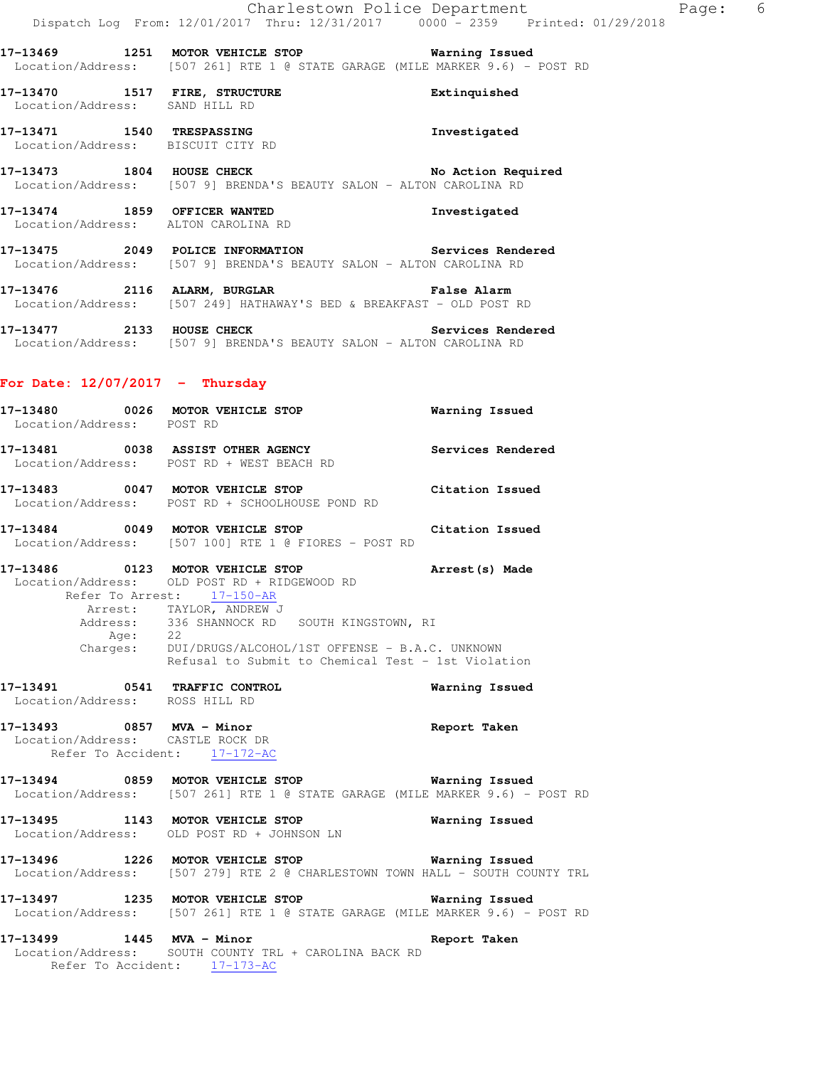**17-13469 1251 MOTOR VEHICLE STOP Warning Issued**  Location/Address: [507 261] RTE 1 @ STATE GARAGE (MILE MARKER 9.6) - POST RD

**17-13470 1517 FIRE, STRUCTURE Extinquished**  Location/Address: SAND HILL RD

**17-13471 1540 TRESPASSING Investigated**  Location/Address: BISCUIT CITY RD

**17-13473 1804 HOUSE CHECK No Action Required**  Location/Address: [507 9] BRENDA'S BEAUTY SALON - ALTON CAROLINA RD

**17-13474 1859 OFFICER WANTED Investigated**  Location/Address: ALTON CAROLINA RD

**17-13475 2049 POLICE INFORMATION Services Rendered**  Location/Address: [507 9] BRENDA'S BEAUTY SALON - ALTON CAROLINA RD

**17-13476 2116 ALARM, BURGLAR False Alarm**  Location/Address: [507 249] HATHAWAY'S BED & BREAKFAST - OLD POST RD

**17-13477 2133 HOUSE CHECK Services Rendered**  Location/Address: [507 9] BRENDA'S BEAUTY SALON - ALTON CAROLINA RD

#### **For Date: 12/07/2017 - Thursday**

**17-13480 0026 MOTOR VEHICLE STOP Warning Issued**  Location/Address: POST RD **17-13481 0038 ASSIST OTHER AGENCY Services Rendered**  Location/Address: POST RD + WEST BEACH RD **17-13483 0047 MOTOR VEHICLE STOP Citation Issued**  Location/Address: POST RD + SCHOOLHOUSE POND RD **17-13484 0049 MOTOR VEHICLE STOP Citation Issued**  Location/Address: [507 100] RTE 1 @ FIORES - POST RD **17-13486 0123 MOTOR VEHICLE STOP Arrest(s) Made**  Location/Address: OLD POST RD + RIDGEWOOD RD Refer To Arrest: 17-150-AR Arrest: TAYLOR, ANDREW J Address: 336 SHANNOCK RD SOUTH KINGSTOWN, RI Age: 22 Charges: DUI/DRUGS/ALCOHOL/1ST OFFENSE - B.A.C. UNKNOWN Refusal to Submit to Chemical Test - 1st Violation **17-13491 0541 TRAFFIC CONTROL Warning Issued**  Location/Address: ROSS HILL RD **17-13493 0857 MVA - Minor Report Taken**  Location/Address: CASTLE ROCK DR Refer To Accident: 17-172-AC **17-13494 0859 MOTOR VEHICLE STOP Warning Issued**  Location/Address: [507 261] RTE 1 @ STATE GARAGE (MILE MARKER 9.6) - POST RD **17-13495 1143 MOTOR VEHICLE STOP Warning Issued**  Location/Address: OLD POST RD + JOHNSON LN **17-13496 1226 MOTOR VEHICLE STOP Warning Issued**  Location/Address: [507 279] RTE 2 @ CHARLESTOWN TOWN HALL - SOUTH COUNTY TRL

**17-13497 1235 MOTOR VEHICLE STOP Warning Issued**  Location/Address: [507 261] RTE 1 @ STATE GARAGE (MILE MARKER 9.6) - POST RD

**17-13499 1445 MVA - Minor Report Taken**  Location/Address: SOUTH COUNTY TRL + CAROLINA BACK RD Refer To Accident: 17-173-AC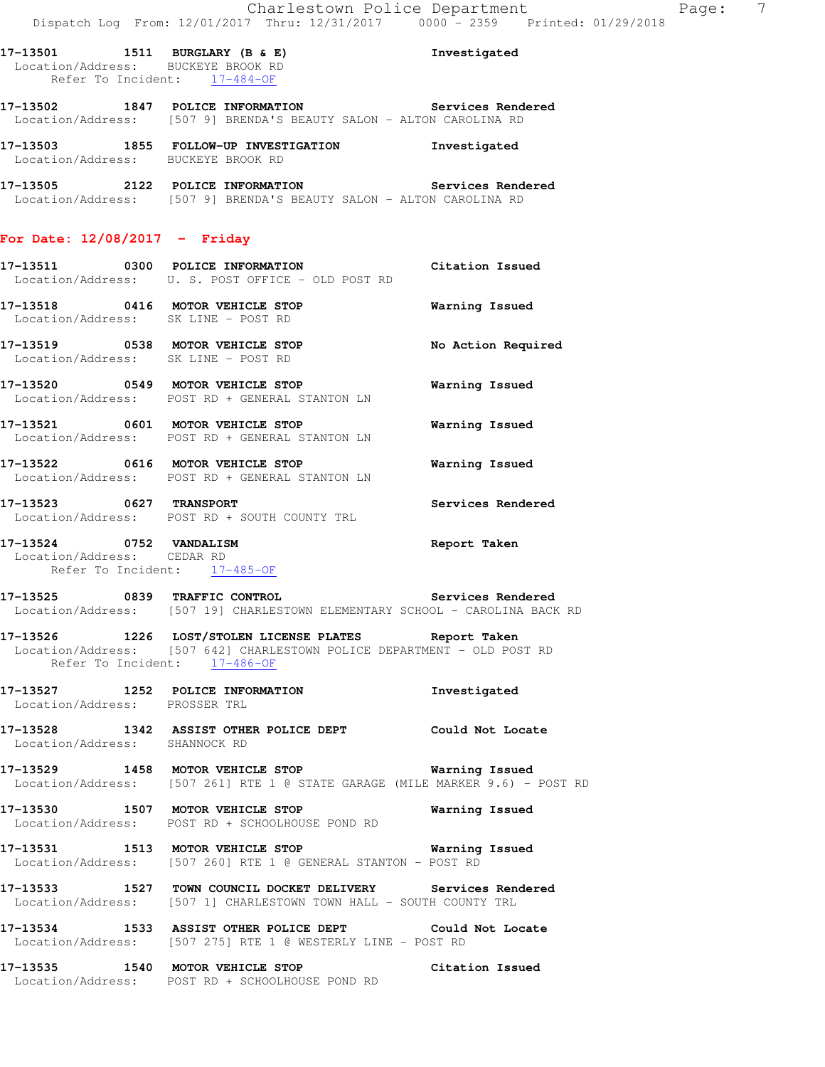**17-13501 1511 BURGLARY (B & E) Investigated**  Location/Address: BUCKEYE BROOK RD Refer To Incident: 17-484-OF

**17-13502 1847 POLICE INFORMATION Services Rendered**  Location/Address: [507 9] BRENDA'S BEAUTY SALON - ALTON CAROLINA RD

**17-13503 1855 FOLLOW-UP INVESTIGATION Investigated**  Location/Address: BUCKEYE BROOK RD

**17-13505 2122 POLICE INFORMATION Services Rendered**  Location/Address: [507 9] BRENDA'S BEAUTY SALON - ALTON CAROLINA RD

### **For Date: 12/08/2017 - Friday**

- **17-13511 0300 POLICE INFORMATION Citation Issued**  Location/Address: U. S. POST OFFICE - OLD POST RD
- **17-13518 0416 MOTOR VEHICLE STOP Warning Issued**  Location/Address: SK LINE - POST RD
- **17-13519 0538 MOTOR VEHICLE STOP No Action Required**  Location/Address: SK LINE - POST RD
- **17-13520 0549 MOTOR VEHICLE STOP Warning Issued**  Location/Address: POST RD + GENERAL STANTON LN
- **17-13521 0601 MOTOR VEHICLE STOP Warning Issued**  Location/Address: POST RD + GENERAL STANTON LN
- **17-13522 0616 MOTOR VEHICLE STOP Warning Issued**  Location/Address: POST RD + GENERAL STANTON LN
- **17-13523 0627 TRANSPORT Services Rendered**  Location/Address: POST RD + SOUTH COUNTY TRL
- **17-13524 0752 VANDALISM Report Taken**  Location/Address: CEDAR RD Refer To Incident: 17-485-OF

**17-13525 0839 TRAFFIC CONTROL Services Rendered**  Location/Address: [507 19] CHARLESTOWN ELEMENTARY SCHOOL - CAROLINA BACK RD

**17-13526 1226 LOST/STOLEN LICENSE PLATES Report Taken**  Location/Address: [507 642] CHARLESTOWN POLICE DEPARTMENT - OLD POST RD Refer To Incident: 17-486-OF

- **17-13527 1252 POLICE INFORMATION Investigated**  Location/Address: PROSSER TRL
- **17-13528 1342 ASSIST OTHER POLICE DEPT Could Not Locate**  Location/Address: SHANNOCK RD

**17-13529 1458 MOTOR VEHICLE STOP Warning Issued**  Location/Address: [507 261] RTE 1 @ STATE GARAGE (MILE MARKER 9.6) - POST RD

**17-13530 1507 MOTOR VEHICLE STOP Warning Issued**  Location/Address: POST RD + SCHOOLHOUSE POND RD

**17-13531 1513 MOTOR VEHICLE STOP Warning Issued**  Location/Address: [507 260] RTE 1 @ GENERAL STANTON - POST RD

- **17-13533 1527 TOWN COUNCIL DOCKET DELIVERY Services Rendered**  Location/Address: [507 1] CHARLESTOWN TOWN HALL - SOUTH COUNTY TRL
- **17-13534 1533 ASSIST OTHER POLICE DEPT Could Not Locate**  Location/Address: [507 275] RTE 1 @ WESTERLY LINE - POST RD

**17-13535 1540 MOTOR VEHICLE STOP Citation Issued**  Location/Address: POST RD + SCHOOLHOUSE POND RD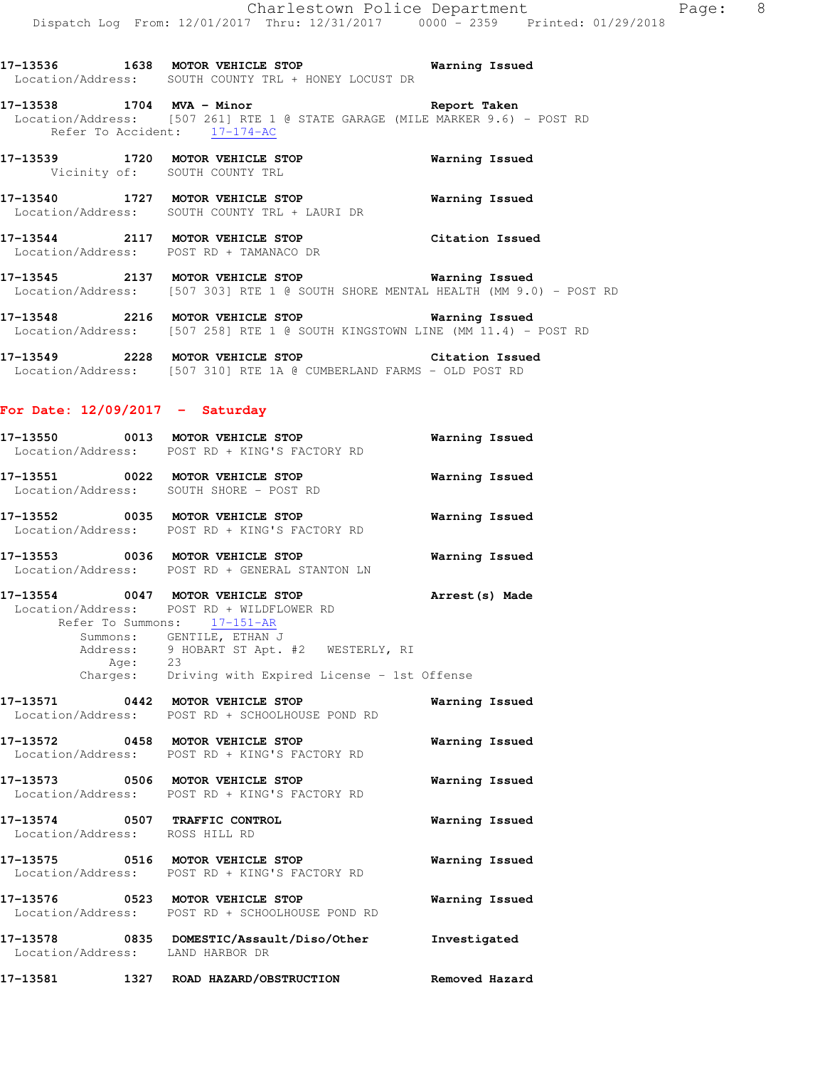**17-13538 1704 MVA - Minor Report Taken**  Location/Address: [507 261] RTE 1 @ STATE GARAGE (MILE MARKER 9.6) - POST RD Refer To Accident: 17-174-AC

**17-13539 1720 MOTOR VEHICLE STOP Warning Issued**  Vicinity of: SOUTH COUNTY TRL

**17-13540 1727 MOTOR VEHICLE STOP Warning Issued**  Location/Address: SOUTH COUNTY TRL + LAURI DR

**17-13544 2117 MOTOR VEHICLE STOP Citation Issued**  Location/Address: POST RD + TAMANACO DR

**17-13545 2137 MOTOR VEHICLE STOP Warning Issued**  Location/Address: [507 303] RTE 1 @ SOUTH SHORE MENTAL HEALTH (MM 9.0) - POST RD

**17-13548 2216 MOTOR VEHICLE STOP Warning Issued**  Location/Address: [507 258] RTE 1 @ SOUTH KINGSTOWN LINE (MM 11.4) - POST RD

**17-13549 2228 MOTOR VEHICLE STOP Citation Issued**  Location/Address: [507 310] RTE 1A @ CUMBERLAND FARMS - OLD POST RD

## **For Date: 12/09/2017 - Saturday**

| 17-13550 | 0013 | MOTOR VEHICLE STOP                                            | Warning Issued |
|----------|------|---------------------------------------------------------------|----------------|
|          |      | Location/Address: POST RD + KING'S FACTORY RD                 |                |
| 17–13551 | 0022 | MOTOR VEHICLE STOP<br>Location/Address: SOUTH SHORE - POST RD | Warning Issued |
| 17–13552 | 0035 | MOTOR VEHICLE STOP                                            | Warning Issued |

Location/Address: POST RD + KING'S FACTORY RD

**17-13553 0036 MOTOR VEHICLE STOP Warning Issued**  Location/Address: POST RD + GENERAL STANTON LN

**17-13554 0047 MOTOR VEHICLE STOP Arrest(s) Made**  Location/Address: POST RD + WILDFLOWER RD Refer To Summons: 17-151-AR Summons: GENTILE, ETHAN J Address: 9 HOBART ST Apt. #2 WESTERLY, RI Age: 23

Charges: Driving with Expired License - 1st Offense

**17-13571 0442 MOTOR VEHICLE STOP Warning Issued**  Location/Address: POST RD + SCHOOLHOUSE POND RD **17-13572 0458 MOTOR VEHICLE STOP Warning Issued**  Location/Address: POST RD + KING'S FACTORY RD **17-13573 0506 MOTOR VEHICLE STOP Warning Issued**  Location/Address: POST RD + KING'S FACTORY RD **17-13574 0507 TRAFFIC CONTROL Warning Issued**  Location/Address: ROSS HILL RD **17-13575 0516 MOTOR VEHICLE STOP Warning Issued**  Location/Address: POST RD + KING'S FACTORY RD **17-13576 0523 MOTOR VEHICLE STOP Warning Issued**  Location/Address: POST RD + SCHOOLHOUSE POND RD

**17-13578 0835 DOMESTIC/Assault/Diso/Other Investigated**  Location/Address: LAND HARBOR DR

**17-13581 1327 ROAD HAZARD/OBSTRUCTION Removed Hazard**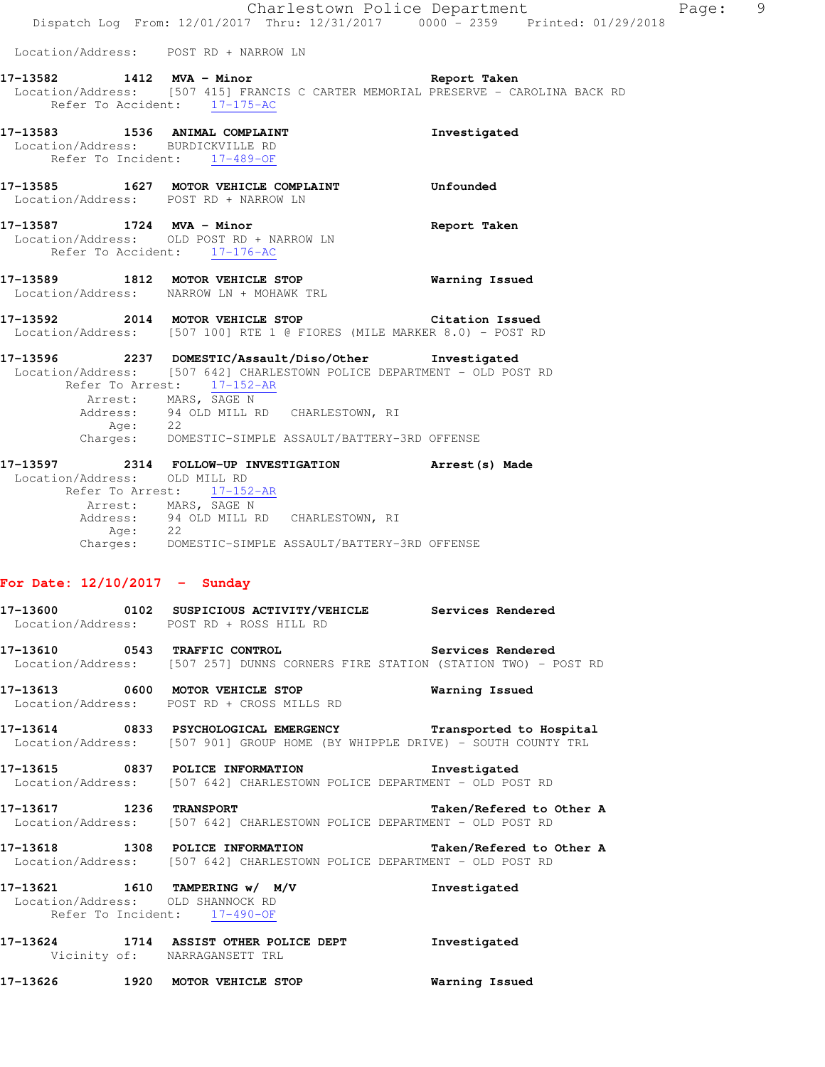Location/Address: POST RD + NARROW LN **17-13582 1412 MVA - Minor Report Taken**  Location/Address: [507 415] FRANCIS C CARTER MEMORIAL PRESERVE - CAROLINA BACK RD Refer To Accident: 17-175-AC 17-13583 1536 ANIMAL COMPLAINT **17-13583** Investigated Location/Address: BURDICKVILLE RD Refer To Incident: 17-489-OF **17-13585 1627 MOTOR VEHICLE COMPLAINT Unfounded**  Location/Address: POST RD + NARROW LN **17-13587 1724 MVA - Minor Report Taken**  Location/Address: OLD POST RD + NARROW LN Refer To Accident: 17-176-AC **17-13589 1812 MOTOR VEHICLE STOP Warning Issued**  Location/Address: NARROW LN + MOHAWK TRL **17-13592 2014 MOTOR VEHICLE STOP Citation Issued**  Location/Address: [507 100] RTE 1 @ FIORES (MILE MARKER 8.0) - POST RD **17-13596 2237 DOMESTIC/Assault/Diso/Other Investigated**  Location/Address: [507 642] CHARLESTOWN POLICE DEPARTMENT - OLD POST RD Refer To Arrest:  $\frac{17-152-AR}{2}$ Arrest: MARS, SAGE N<br>Address: 94 OLD MILL R 94 OLD MILL RD CHARLESTOWN, RI kress.<br>Age: 22 Charges: DOMESTIC-SIMPLE ASSAULT/BATTERY-3RD OFFENSE **17-13597 2314 FOLLOW-UP INVESTIGATION Arrest(s) Made**  Location/Address: OLD MILL RD Refer To Arrest:  $\frac{17-152-AR}{2}$ Arrest: MARS, SAGE N Address: 94 OLD MILL RD CHARLESTOWN, RI  $A$ ge:  $22$  Charges: DOMESTIC-SIMPLE ASSAULT/BATTERY-3RD OFFENSE **For Date: 12/10/2017 - Sunday 17-13600 0102 SUSPICIOUS ACTIVITY/VEHICLE Services Rendered**  Location/Address: POST RD + ROSS HILL RD **17-13610 0543 TRAFFIC CONTROL Services Rendered**  Location/Address: [507 257] DUNNS CORNERS FIRE STATION (STATION TWO) - POST RD **17-13613 0600 MOTOR VEHICLE STOP Warning Issued**  Location/Address: POST RD + CROSS MILLS RD **17-13614 0833 PSYCHOLOGICAL EMERGENCY Transported to Hospital**  Location/Address: [507 901] GROUP HOME (BY WHIPPLE DRIVE) - SOUTH COUNTY TRL **17-13615 0837 POLICE INFORMATION Investigated**  Location/Address: [507 642] CHARLESTOWN POLICE DEPARTMENT - OLD POST RD **17-13617 1236 TRANSPORT Taken/Refered to Other A**  Location/Address: [507 642] CHARLESTOWN POLICE DEPARTMENT - OLD POST RD **17-13618 1308 POLICE INFORMATION Taken/Refered to Other A**  Location/Address: [507 642] CHARLESTOWN POLICE DEPARTMENT - OLD POST RD **17-13621 1610 TAMPERING w/ M/V Investigated**  Location/Address: OLD SHANNOCK RD Refer To Incident: 17-490-OF

Dispatch Log From: 12/01/2017 Thru: 12/31/2017 0000 - 2359 Printed: 01/29/2018

Charlestown Police Department Page: 9

**17-13624 1714 ASSIST OTHER POLICE DEPT Investigated**  Vicinity of: NARRAGANSETT TRL

**17-13626 1920 MOTOR VEHICLE STOP Warning Issued**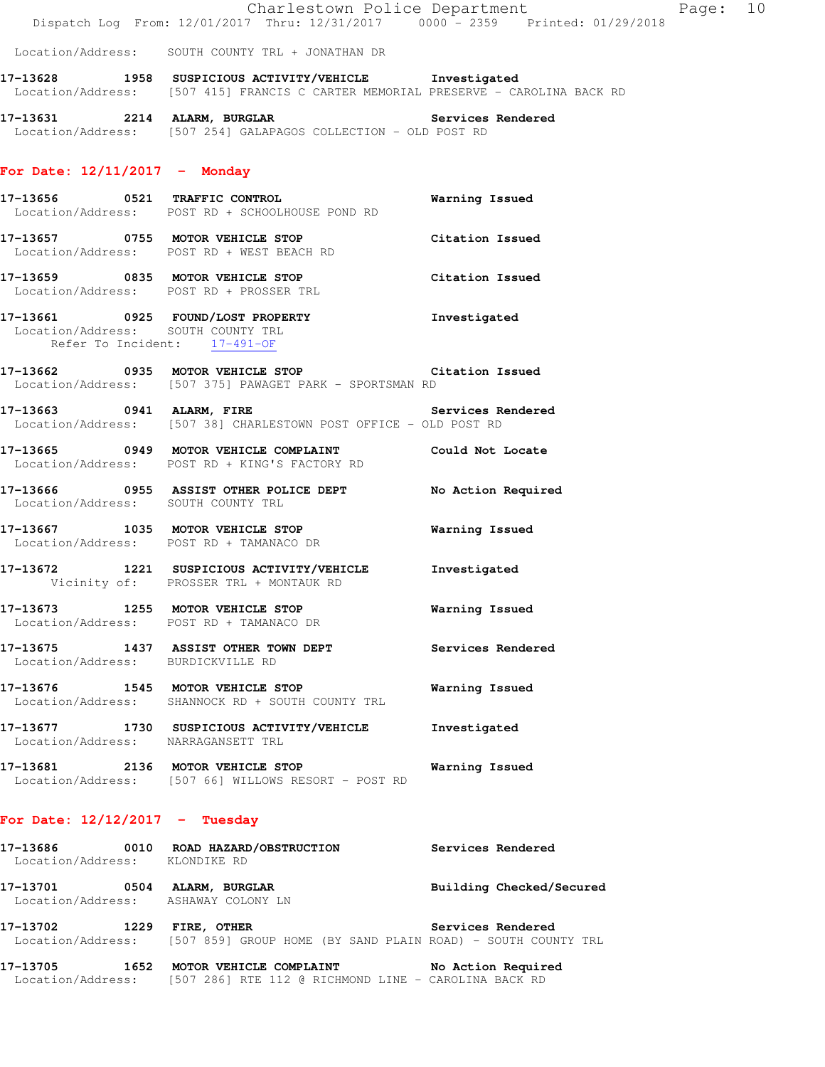|                                                                     | Dispatch Log From: 12/01/2017 Thru: 12/31/2017 0000 - 2359 Printed: 01/29/2018                                                              | Charlestown Police Department | Page: 10 |  |
|---------------------------------------------------------------------|---------------------------------------------------------------------------------------------------------------------------------------------|-------------------------------|----------|--|
|                                                                     | Location/Address: SOUTH COUNTY TRL + JONATHAN DR                                                                                            |                               |          |  |
|                                                                     | 17-13628 1958 SUSPICIOUS ACTIVITY/VEHICLE Investigated<br>Location/Address: [507 415] FRANCIS C CARTER MEMORIAL PRESERVE - CAROLINA BACK RD |                               |          |  |
|                                                                     | 17-13631 2214 ALARM, BURGLAR 2008 Services Rendered<br>Location/Address: [507 254] GALAPAGOS COLLECTION - OLD POST RD                       |                               |          |  |
| For Date: $12/11/2017$ - Monday                                     |                                                                                                                                             |                               |          |  |
|                                                                     | 17-13656 0521 TRAFFIC CONTROL<br>Location/Address: POST RD + SCHOOLHOUSE POND RD                                                            | Warning Issued                |          |  |
|                                                                     | 17-13657 0755 MOTOR VEHICLE STOP Citation Issued<br>Location/Address: POST RD + WEST BEACH RD                                               |                               |          |  |
|                                                                     | 17-13659 0835 MOTOR VEHICLE STOP Citation Issued<br>Location/Address: POST RD + PROSSER TRL                                                 |                               |          |  |
| Location/Address: SOUTH COUNTY TRL                                  | 17-13661 0925 FOUND/LOST PROPERTY Threstigated<br>Refer To Incident: 17-491-OF                                                              |                               |          |  |
|                                                                     | 17-13662 0935 MOTOR VEHICLE STOP Citation Issued<br>Location/Address: [507 375] PAWAGET PARK - SPORTSMAN RD                                 |                               |          |  |
|                                                                     | 17-13663 0941 ALARM, FIRE Services Rendered<br>Location/Address: [507 38] CHARLESTOWN POST OFFICE - OLD POST RD                             |                               |          |  |
|                                                                     | 17-13665 0949 MOTOR VEHICLE COMPLAINT Could Not Locate<br>Location/Address: POST RD + KING'S FACTORY RD                                     |                               |          |  |
| Location/Address: SOUTH COUNTY TRL                                  | 17-13666 0955 ASSIST OTHER POLICE DEPT No Action Required                                                                                   |                               |          |  |
|                                                                     | 17-13667 1035 MOTOR VEHICLE STOP<br>Location/Address: POST RD + TAMANACO DR                                                                 | <b>Warning Issued</b>         |          |  |
|                                                                     | 17-13672 1221 SUSPICIOUS ACTIVITY/VEHICLE Investigated<br>Vicinity of: PROSSER TRL + MONTAUK RD                                             |                               |          |  |
|                                                                     | 17-13673 1255 MOTOR VEHICLE STOP<br>Location/Address: POST RD + TAMANACO DR                                                                 | Warning Issued                |          |  |
| Location/Address: BURDICKVILLE RD                                   | 17-13675 1437 ASSIST OTHER TOWN DEPT                                                                                                        | Services Rendered             |          |  |
|                                                                     | 17-13676 1545 MOTOR VEHICLE STOP<br>Location/Address: SHANNOCK RD + SOUTH COUNTY TRL                                                        | Warning Issued                |          |  |
| Location/Address: NARRAGANSETT TRL                                  | 17-13677 1730 SUSPICIOUS ACTIVITY/VEHICLE                                                                                                   | Investigated                  |          |  |
|                                                                     | 17-13681 2136 MOTOR VEHICLE STOP<br>Location/Address: [507 66] WILLOWS RESORT - POST RD                                                     | Warning Issued                |          |  |
| For Date: $12/12/2017$ - Tuesday                                    |                                                                                                                                             |                               |          |  |
| Location/Address: KLONDIKE RD                                       | 17-13686  0010  ROAD HAZARD/OBSTRUCTION                                                                                                     | Services Rendered             |          |  |
| 17-13701 0504 ALARM, BURGLAR<br>Location/Address: ASHAWAY COLONY LN |                                                                                                                                             | Building Checked/Secured      |          |  |
|                                                                     |                                                                                                                                             |                               |          |  |

**17-13702 1229 FIRE, OTHER Services Rendered**  Location/Address: [507 859] GROUP HOME (BY SAND PLAIN ROAD) - SOUTH COUNTY TRL

**17-13705 1652 MOTOR VEHICLE COMPLAINT No Action Required**  Location/Address: [507 286] RTE 112 @ RICHMOND LINE - CAROLINA BACK RD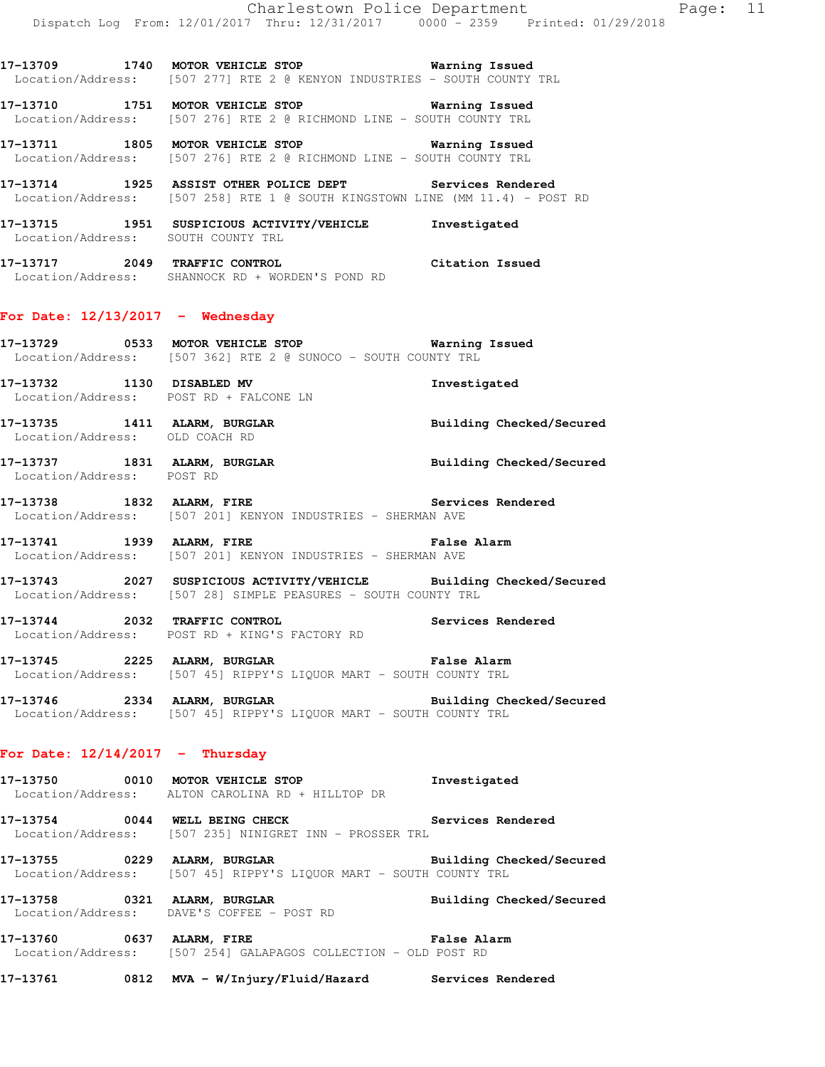**17-13710 1751 MOTOR VEHICLE STOP Warning Issued**  Location/Address: [507 276] RTE 2 @ RICHMOND LINE - SOUTH COUNTY TRL

**17-13711 1805 MOTOR VEHICLE STOP Warning Issued**  Location/Address: [507 276] RTE 2 @ RICHMOND LINE - SOUTH COUNTY TRL

**17-13714 1925 ASSIST OTHER POLICE DEPT Services Rendered**  Location/Address: [507 258] RTE 1 @ SOUTH KINGSTOWN LINE (MM 11.4) - POST RD

**17-13715 1951 SUSPICIOUS ACTIVITY/VEHICLE Investigated**  Location/Address: SOUTH COUNTY TRL

**17-13717 2049 TRAFFIC CONTROL Citation Issued**  Location/Address: SHANNOCK RD + WORDEN'S POND RD

## **For Date: 12/13/2017 - Wednesday**

**17-13729 0533 MOTOR VEHICLE STOP Warning Issued**  Location/Address: [507 362] RTE 2 @ SUNOCO - SOUTH COUNTY TRL

**17-13732 1130 DISABLED MV Investigated**  Location/Address: POST RD + FALCONE LN

**17-13735 1411 ALARM, BURGLAR Building Checked/Secured**  Location/Address: OLD COACH RD

**17-13737 1831 ALARM, BURGLAR Building Checked/Secured**  Location/Address: POST RD

**17-13738 1832 ALARM, FIRE Services Rendered**  Location/Address: [507 201] KENYON INDUSTRIES - SHERMAN AVE

**17-13741 1939 ALARM, FIRE False Alarm**  Location/Address: [507 201] KENYON INDUSTRIES - SHERMAN AVE

**17-13743 2027 SUSPICIOUS ACTIVITY/VEHICLE Building Checked/Secured**  Location/Address: [507 28] SIMPLE PEASURES - SOUTH COUNTY TRL

**17-13744 2032 TRAFFIC CONTROL Services Rendered**  Location/Address: POST RD + KING'S FACTORY RD

**17-13745 2225 ALARM, BURGLAR False Alarm**  Location/Address: [507 45] RIPPY'S LIQUOR MART - SOUTH COUNTY TRL

**17-13746 2334 ALARM, BURGLAR Building Checked/Secured**  Location/Address: [507 45] RIPPY'S LIQUOR MART - SOUTH COUNTY TRL

# **For Date: 12/14/2017 - Thursday**

**17-13750 0010 MOTOR VEHICLE STOP Investigated**  Location/Address: ALTON CAROLINA RD + HILLTOP DR

**17-13754 0044 WELL BEING CHECK Services Rendered**  Location/Address: [507 235] NINIGRET INN - PROSSER TRL

**17-13755 0229 ALARM, BURGLAR Building Checked/Secured**  Location/Address: [507 45] RIPPY'S LIQUOR MART - SOUTH COUNTY TRL

**17-13758 0321 ALARM, BURGLAR Building Checked/Secured**  Location/Address: DAVE'S COFFEE - POST RD

**17-13760 0637 ALARM, FIRE False Alarm**  Location/Address: [507 254] GALAPAGOS COLLECTION - OLD POST RD

**17-13761 0812 MVA - W/Injury/Fluid/Hazard Services Rendered**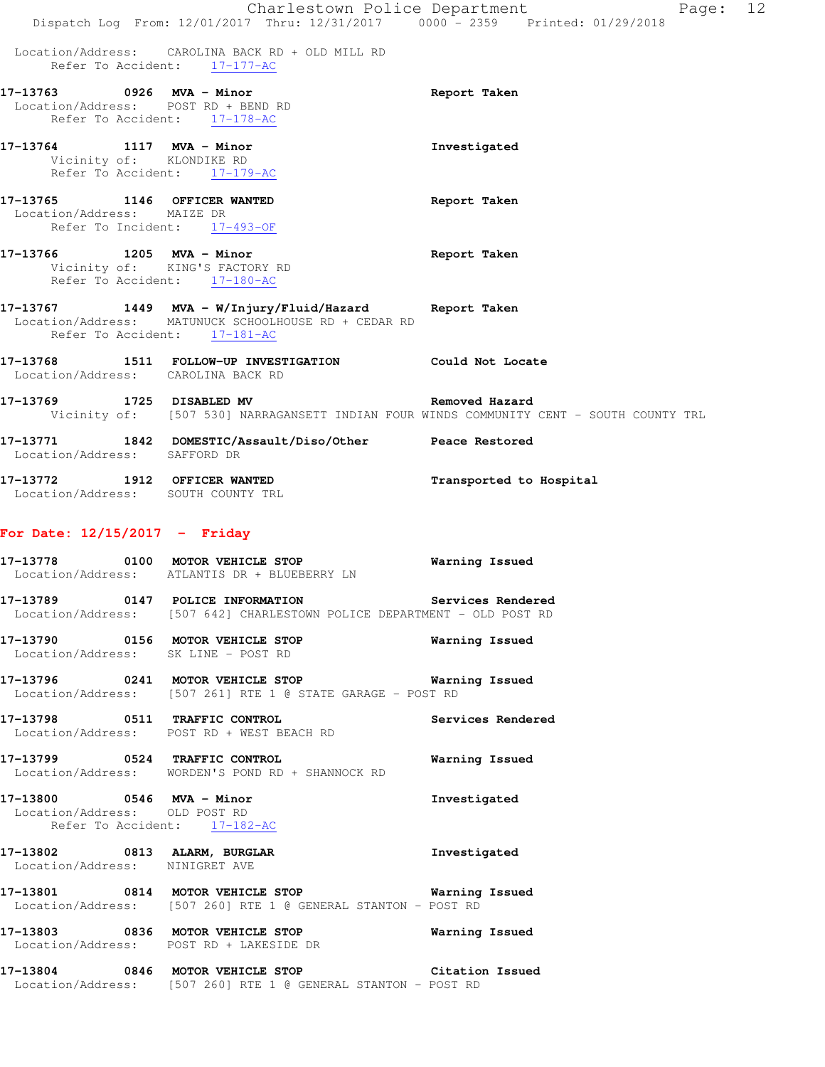|                                                                    | Dispatch Log From: 12/01/2017 Thru: 12/31/2017 0000 - 2359 Printed: 01/29/2018                                                                 | Charlestown Police Department<br>Page: 12                                                                 |  |
|--------------------------------------------------------------------|------------------------------------------------------------------------------------------------------------------------------------------------|-----------------------------------------------------------------------------------------------------------|--|
|                                                                    | Location/Address: CAROLINA BACK RD + OLD MILL RD<br>Refer To Accident: 17-177-AC                                                               |                                                                                                           |  |
| 17-13763 0926 MVA - Minor<br>Location/Address: POST RD + BEND RD   | Refer To Accident: 17-178-AC                                                                                                                   | Report Taken                                                                                              |  |
| 17-13764 1117 MVA - Minor<br>Vicinity of: KLONDIKE RD              | Refer To Accident: 17-179-AC                                                                                                                   | Investigated                                                                                              |  |
| 17-13765 1146 OFFICER WANTED<br>Location/Address: MAIZE DR         | Refer To Incident: 17-493-OF                                                                                                                   | Report Taken                                                                                              |  |
| 17-13766 1205 MVA - Minor                                          | Vicinity of: KING'S FACTORY RD<br>Refer To Accident: 17-180-AC                                                                                 | Report Taken                                                                                              |  |
|                                                                    | 17-13767 1449 MVA - W/Injury/Fluid/Hazard Report Taken<br>Location/Address: MATUNUCK SCHOOLHOUSE RD + CEDAR RD<br>Refer To Accident: 17-181-AC |                                                                                                           |  |
| Location/Address: CAROLINA BACK RD                                 | 17-13768 1511 FOLLOW-UP INVESTIGATION                                                                                                          | Could Not Locate                                                                                          |  |
| 17-13769 1725 DISABLED MV                                          |                                                                                                                                                | Removed Hazard<br>Vicinity of: [507 530] NARRAGANSETT INDIAN FOUR WINDS COMMUNITY CENT - SOUTH COUNTY TRL |  |
| Location/Address: SAFFORD DR                                       | 17-13771 1842 DOMESTIC/Assault/Diso/Other Peace Restored                                                                                       |                                                                                                           |  |
| 17-13772 1912 OFFICER WANTED<br>Location/Address: SOUTH COUNTY TRL |                                                                                                                                                | Transported to Hospital                                                                                   |  |
| For Date: $12/15/2017$ - Friday                                    |                                                                                                                                                |                                                                                                           |  |
| 17-13778                                                           | 0100 MOTOR VEHICLE STOP<br>Location/Address: ATLANTIS DR + BLUEBERRY LN                                                                        | Warning Issued                                                                                            |  |
| 17-13789                                                           | 0147 POLICE INFORMATION<br>Location/Address: [507 642] CHARLESTOWN POLICE DEPARTMENT - OLD POST RD                                             | Services Rendered                                                                                         |  |
| Location/Address: SK LINE - POST RD                                | 17-13790 0156 MOTOR VEHICLE STOP                                                                                                               | Warning Issued                                                                                            |  |
|                                                                    | 17-13796 0241 MOTOR VEHICLE STOP 6 Warning Issued<br>Location/Address: [507 261] RTE 1 @ STATE GARAGE - POST RD                                |                                                                                                           |  |
|                                                                    | 17-13798 0511 TRAFFIC CONTROL<br>Location/Address: POST RD + WEST BEACH RD                                                                     | Services Rendered                                                                                         |  |
|                                                                    | 17-13799 0524 TRAFFIC CONTROL<br>Location/Address: WORDEN'S POND RD + SHANNOCK RD                                                              | <b>Warning Issued</b>                                                                                     |  |
| Location/Address: OLD POST RD<br>Refer To Accident: 17-182-AC      | 17-13800 0546 MVA - Minor                                                                                                                      | Investigated                                                                                              |  |
| Location/Address: NINIGRET AVE                                     | 17-13802 0813 ALARM, BURGLAR                                                                                                                   | Investigated                                                                                              |  |
|                                                                    | 17-13801 0814 MOTOR VEHICLE STOP 6 Warning Issued<br>Location/Address: [507 260] RTE 1 @ GENERAL STANTON - POST RD                             |                                                                                                           |  |
|                                                                    | 17-13803 0836 MOTOR VEHICLE STOP Warning Issued<br>Location/Address: POST RD + LAKESIDE DR                                                     |                                                                                                           |  |
|                                                                    | 17-13804 0846 MOTOR VEHICLE STOP<br>Location/Address: [507 260] RTE 1 @ GENERAL STANTON - POST RD                                              | Citation Issued                                                                                           |  |
|                                                                    |                                                                                                                                                |                                                                                                           |  |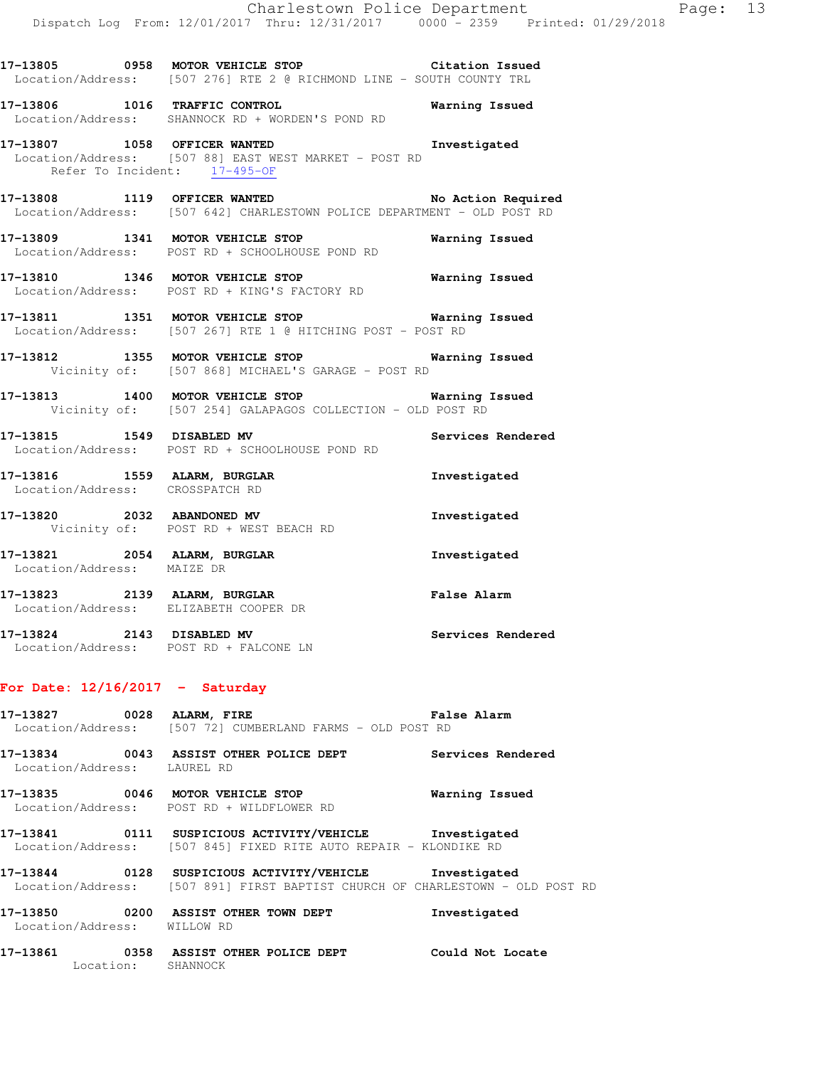**17-13805 0958 MOTOR VEHICLE STOP Citation Issued**  Location/Address: [507 276] RTE 2 @ RICHMOND LINE - SOUTH COUNTY TRL **17-13806 1016 TRAFFIC CONTROL Warning Issued**  Location/Address: SHANNOCK RD + WORDEN'S POND RD **17-13807 1058 OFFICER WANTED Investigated**  Location/Address: [507 88] EAST WEST MARKET - POST RD Refer To Incident: 17-495-OF **17-13808 1119 OFFICER WANTED No Action Required**  Location/Address: [507 642] CHARLESTOWN POLICE DEPARTMENT - OLD POST RD

**17-13809 1341 MOTOR VEHICLE STOP Warning Issued**  Location/Address: POST RD + SCHOOLHOUSE POND RD

**17-13810 1346 MOTOR VEHICLE STOP Warning Issued**  Location/Address: POST RD + KING'S FACTORY RD

**17-13811 1351 MOTOR VEHICLE STOP Warning Issued**  Location/Address: [507 267] RTE 1 @ HITCHING POST - POST RD

**17-13812 1355 MOTOR VEHICLE STOP Warning Issued**  Vicinity of: [507 868] MICHAEL'S GARAGE - POST RD

**17-13813 1400 MOTOR VEHICLE STOP Warning Issued**  Vicinity of: [507 254] GALAPAGOS COLLECTION - OLD POST RD

**17-13815 1549 DISABLED MV Services Rendered**  Location/Address: POST RD + SCHOOLHOUSE POND RD

**17-13816 1559 ALARM, BURGLAR Investigated**  Location/Address: CROSSPATCH RD

**17-13820 2032 ABANDONED MV Investigated**  Vicinity of: POST RD + WEST BEACH RD

**17-13821 2054 ALARM, BURGLAR Investigated**  Location/Address: MAIZE DR

**17-13823 2139 ALARM, BURGLAR False Alarm**  Location/Address: ELIZABETH COOPER DR

**17-13824 2143 DISABLED MV Services Rendered**  Location/Address: POST RD + FALCONE LN

### **For Date: 12/16/2017 - Saturday**

**17-13827 0028 ALARM, FIRE False Alarm**  Location/Address: [507 72] CUMBERLAND FARMS - OLD POST RD

**17-13834 0043 ASSIST OTHER POLICE DEPT Services Rendered**  Location/Address: LAUREL RD

**17-13835 0046 MOTOR VEHICLE STOP Warning Issued**  Location/Address: POST RD + WILDFLOWER RD

**17-13841 0111 SUSPICIOUS ACTIVITY/VEHICLE Investigated**  Location/Address: [507 845] FIXED RITE AUTO REPAIR - KLONDIKE RD

**17-13844 0128 SUSPICIOUS ACTIVITY/VEHICLE Investigated**  Location/Address: [507 891] FIRST BAPTIST CHURCH OF CHARLESTOWN - OLD POST RD

**17-13850 0200 ASSIST OTHER TOWN DEPT Investigated**  Location/Address: WILLOW RD

**17-13861 0358 ASSIST OTHER POLICE DEPT Could Not Locate** 

Location: SHANNOCK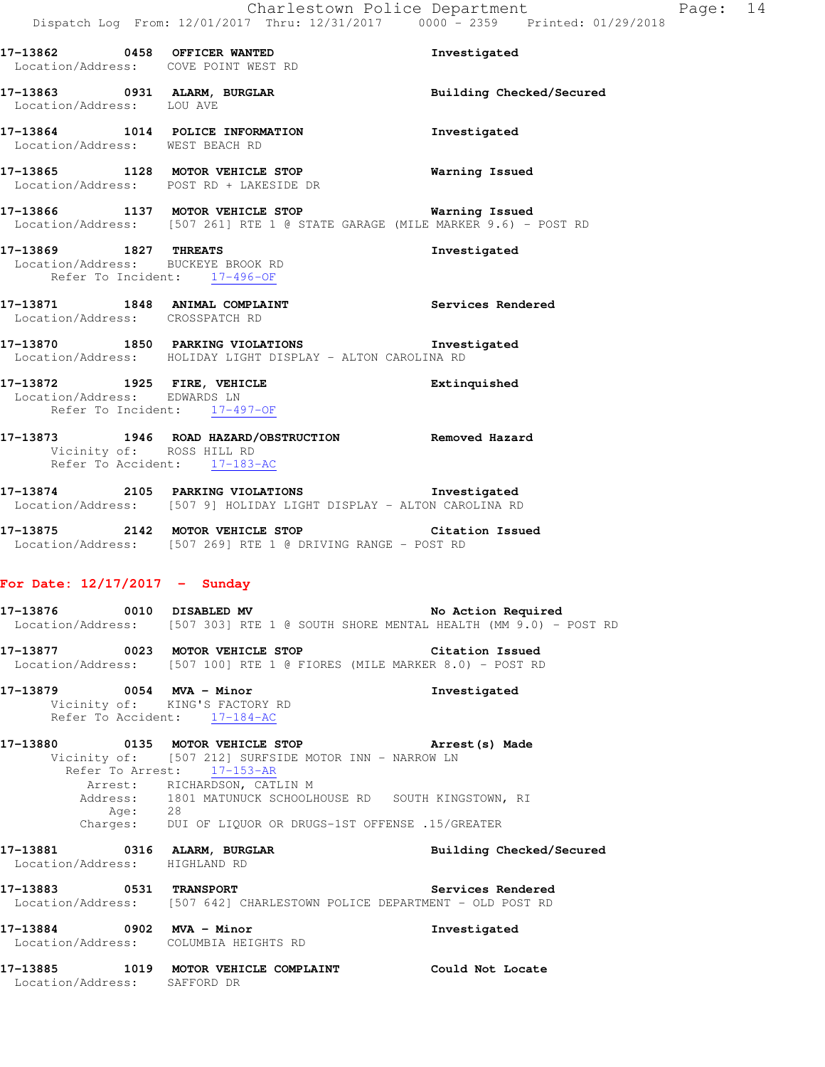**17-13862 0458 OFFICER WANTED Investigated**  Location/Address: COVE POINT WEST RD **17-13863 0931 ALARM, BURGLAR Building Checked/Secured**  Location/Address: LOU AVE **17-13864 1014 POLICE INFORMATION Investigated**  Location/Address: WEST BEACH RD **17-13865 1128 MOTOR VEHICLE STOP Warning Issued**  Location/Address: POST RD + LAKESIDE DR **17-13866 1137 MOTOR VEHICLE STOP Warning Issued**  Location/Address: [507 261] RTE 1 @ STATE GARAGE (MILE MARKER 9.6) - POST RD **17-13869 1827 THREATS Investigated**  Location/Address: BUCKEYE BROOK RD Refer To Incident: 17-496-OF **17-13871 1848 ANIMAL COMPLAINT Services Rendered**  Location/Address: CROSSPATCH RD **17-13870 1850 PARKING VIOLATIONS Investigated**  Location/Address: HOLIDAY LIGHT DISPLAY - ALTON CAROLINA RD **17-13872 1925 FIRE, VEHICLE Extinquished**  Location/Address: EDWARDS LN Refer To Incident: 17-497-OF **17-13873 1946 ROAD HAZARD/OBSTRUCTION Removed Hazard**  Vicinity of: ROSS HILL RD Refer To Accident: 17-183-AC **17-13874 2105 PARKING VIOLATIONS Investigated**  Location/Address: [507 9] HOLIDAY LIGHT DISPLAY - ALTON CAROLINA RD **17-13875 2142 MOTOR VEHICLE STOP Citation Issued**  Location/Address: [507 269] RTE 1 @ DRIVING RANGE - POST RD **For Date: 12/17/2017 - Sunday** 17-13876 0010 DISABLED MV **No Action Required**  Location/Address: [507 303] RTE 1 @ SOUTH SHORE MENTAL HEALTH (MM 9.0) - POST RD **17-13877 0023 MOTOR VEHICLE STOP Citation Issued**  Location/Address: [507 100] RTE 1 @ FIORES (MILE MARKER 8.0) - POST RD **17-13879 0054 MVA - Minor Investigated**  Vicinity of: KING'S FACTORY RD Refer To Accident: 17-184-AC **17-13880 0135 MOTOR VEHICLE STOP Arrest(s) Made**  Vicinity of: [507 212] SURFSIDE MOTOR INN - NARROW LN Refer To Arrest: 17-153-AR Arrest: RICHARDSON, CATLIN M Address: 1801 MATUNUCK SCHOOLHOUSE RD SOUTH KINGSTOWN, RI Age: 28 Charges: DUI OF LIQUOR OR DRUGS-1ST OFFENSE .15/GREATER **17-13881 0316 ALARM, BURGLAR Building Checked/Secured**  Location/Address: HIGHLAND RD **17-13883 0531 TRANSPORT Services Rendered**  Location/Address: [507 642] CHARLESTOWN POLICE DEPARTMENT - OLD POST RD **17-13884 0902 MVA - Minor Investigated**  Location/Address: COLUMBIA HEIGHTS RD

**17-13885 1019 MOTOR VEHICLE COMPLAINT Could Not Locate** 

Location/Address: SAFFORD DR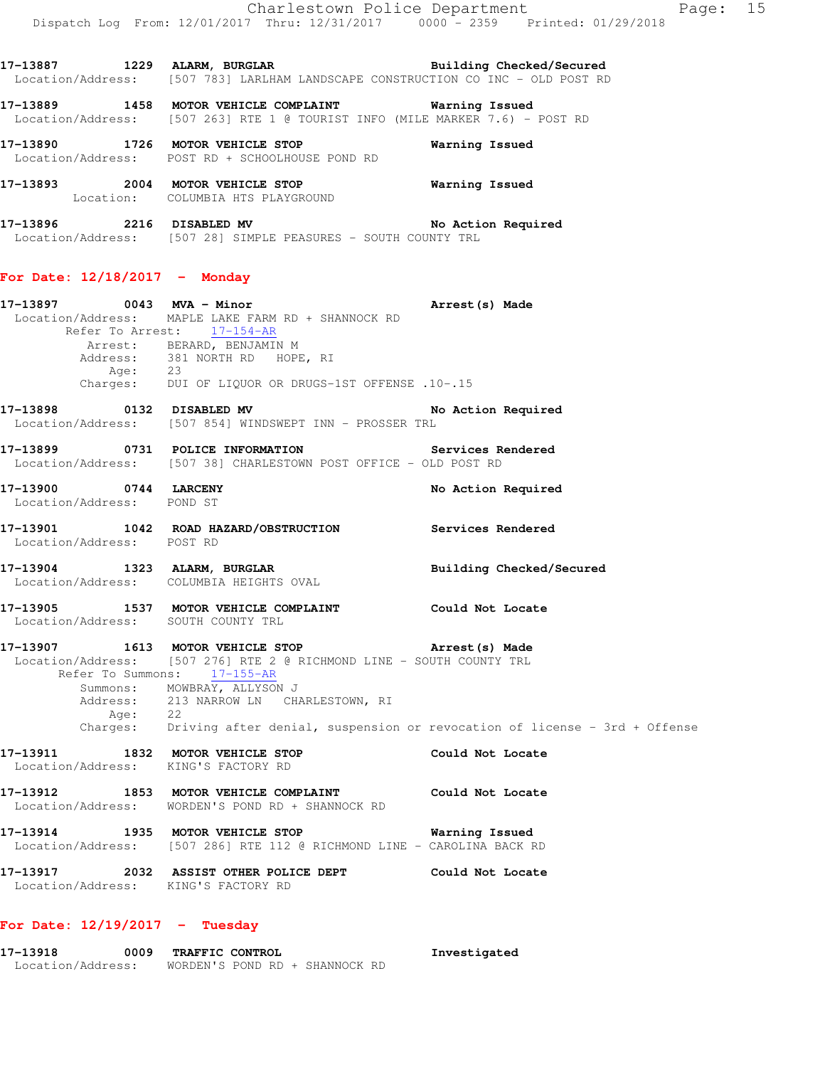17-13887 1229 ALARM, BURGLAR **Building Checked/Secured**  Location/Address: [507 783] LARLHAM LANDSCAPE CONSTRUCTION CO INC - OLD POST RD **17-13889 1458 MOTOR VEHICLE COMPLAINT Warning Issued**  Location/Address: [507 263] RTE 1 @ TOURIST INFO (MILE MARKER 7.6) - POST RD

**17-13890 1726 MOTOR VEHICLE STOP Warning Issued**  Location/Address: POST RD + SCHOOLHOUSE POND RD

**17-13893 2004 MOTOR VEHICLE STOP Warning Issued**  Location: COLUMBIA HTS PLAYGROUND

**17-13896 2216 DISABLED MV No Action Required**  Location/Address: [507 28] SIMPLE PEASURES - SOUTH COUNTY TRL

### **For Date: 12/18/2017 - Monday**

**17-13897 0043 MVA - Minor Arrest(s) Made**  Location/Address: MAPLE LAKE FARM RD + SHANNOCK RD Refer To Arrest: 17-154-AR Arrest: BERARD, BENJAMIN M Address: 381 NORTH RD HOPE, RI Age: 23 Charges: DUI OF LIQUOR OR DRUGS-1ST OFFENSE .10-.15 **17-13898** 0132 DISABLED MV No Action Required Location/Address: [507 854] WINDSWEPT INN - PROSSER TRL

**17-13899 0731 POLICE INFORMATION Services Rendered**  Location/Address: [507 38] CHARLESTOWN POST OFFICE - OLD POST RD

**17-13900 0744 LARCENY No Action Required**  Location/Address: POND ST

**17-13901 1042 ROAD HAZARD/OBSTRUCTION Services Rendered**  Location/Address: POST RD

**17-13904 1323 ALARM, BURGLAR Building Checked/Secured**  Location/Address: COLUMBIA HEIGHTS OVAL

**17-13905 1537 MOTOR VEHICLE COMPLAINT Could Not Locate**  Location/Address: SOUTH COUNTY TRL

**17-13907 1613 MOTOR VEHICLE STOP Arrest(s) Made**  Location/Address: [507 276] RTE 2 @ RICHMOND LINE - SOUTH COUNTY TRL Refer To Summons: 17-155-AR Summons: MOWBRAY, ALLYSON J Address: 213 NARROW LN CHARLESTOWN, RI Age: 22 Charges: Driving after denial, suspension or revocation of license - 3rd + Offense

**17-13911 1832 MOTOR VEHICLE STOP Could Not Locate**  Location/Address: KING'S FACTORY RD

**17-13912 1853 MOTOR VEHICLE COMPLAINT Could Not Locate**  Location/Address: WORDEN'S POND RD + SHANNOCK RD

**17-13914 1935 MOTOR VEHICLE STOP Warning Issued**  Location/Address: [507 286] RTE 112 @ RICHMOND LINE - CAROLINA BACK RD

**17-13917 2032 ASSIST OTHER POLICE DEPT Could Not Locate**  Location/Address: KING'S FACTORY RD

### **For Date: 12/19/2017 - Tuesday**

**17-13918 0009 TRAFFIC CONTROL Investigated**  Location/Address: WORDEN'S POND RD + SHANNOCK RD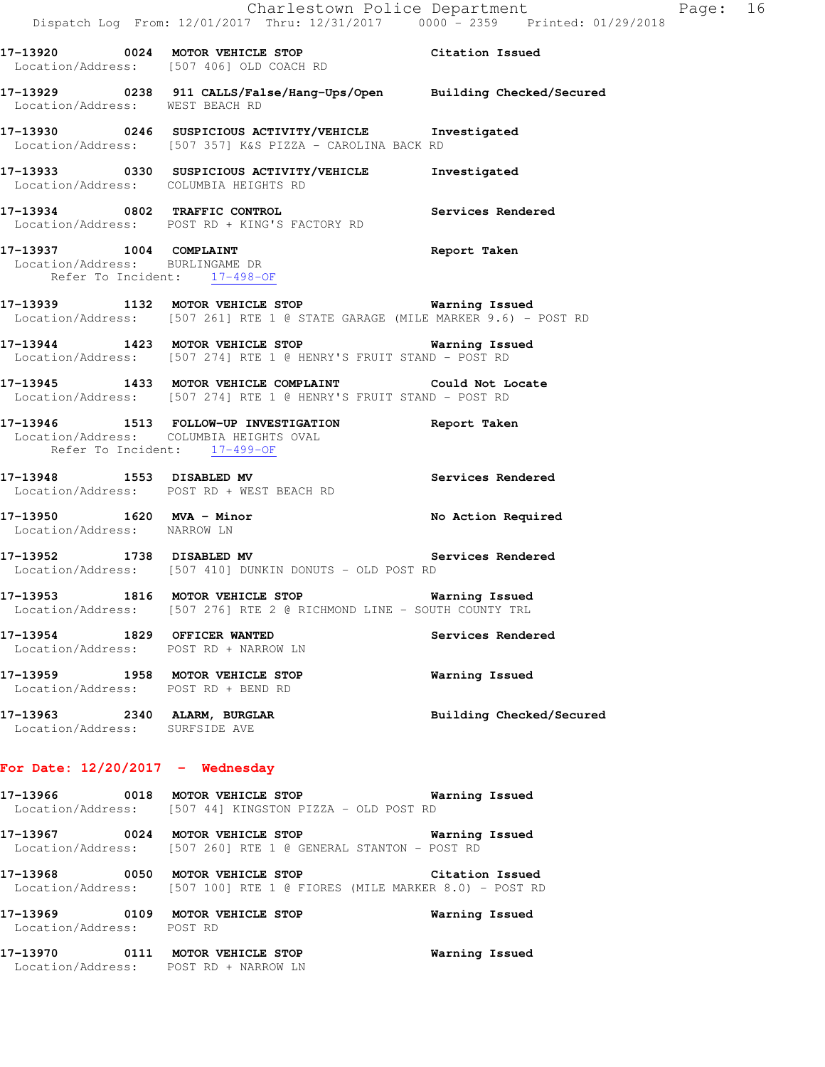|                                    | Dispatch Log From: 12/01/2017 Thru: 12/31/2017 0000 - 2359 Printed: 01/29/2018                                                         | Charlestown Police Department The Rage: 16 |  |
|------------------------------------|----------------------------------------------------------------------------------------------------------------------------------------|--------------------------------------------|--|
|                                    | 17-13920 0024 MOTOR VEHICLE STOP Citation Issued<br>Location/Address: [507 406] OLD COACH RD                                           |                                            |  |
| Location/Address: WEST BEACH RD    | 17-13929 0238 911 CALLS/False/Hang-Ups/Open Building Checked/Secured                                                                   |                                            |  |
|                                    | 17-13930 0246 SUSPICIOUS ACTIVITY/VEHICLE Investigated<br>Location/Address: [507 357] K&S PIZZA - CAROLINA BACK RD                     |                                            |  |
|                                    | 17-13933 0330 SUSPICIOUS ACTIVITY/VEHICLE Investigated<br>Location/Address: COLUMBIA HEIGHTS RD                                        |                                            |  |
|                                    | 17-13934 0802 TRAFFIC CONTROL<br>Location/Address: POST RD + KING'S FACTORY RD                                                         | Services Rendered                          |  |
|                                    | 17-13937 1004 COMPLAINT<br>Location/Address: BURLINGAME DR<br>Refer To Incident: 17-498-OF                                             | Report Taken                               |  |
|                                    | 17-13939 1132 MOTOR VEHICLE STOP <b>Warning Issued</b><br>Location/Address: [507 261] RTE 1 @ STATE GARAGE (MILE MARKER 9.6) - POST RD |                                            |  |
|                                    | 17-13944 1423 MOTOR VEHICLE STOP 6 Warning Issued<br>Location/Address: [507 274] RTE 1 @ HENRY'S FRUIT STAND - POST RD                 |                                            |  |
|                                    | 17-13945 1433 MOTOR VEHICLE COMPLAINT Could Not Locate<br>Location/Address: [507 274] RTE 1 @ HENRY'S FRUIT STAND - POST RD            |                                            |  |
|                                    | 17-13946 1513 FOLLOW-UP INVESTIGATION Report Taken<br>Location/Address: COLUMBIA HEIGHTS OVAL<br>Refer To Incident: 17-499-OF          |                                            |  |
|                                    | 17-13948 1553 DISABLED MV<br>Location/Address: POST RD + WEST BEACH RD                                                                 | Services Rendered                          |  |
| Location/Address: NARROW LN        | 17-13950 1620 MVA - Minor                                                                                                              | No Action Required                         |  |
|                                    | 17-13952 1738 DISABLED MV Services Rendered<br>Location/Address: [507 410] DUNKIN DONUTS - OLD POST RD                                 |                                            |  |
|                                    | 17-13953 1816 MOTOR VEHICLE STOP 6 Warning Issued<br>Location/Address: [507 276] RTE 2 @ RICHMOND LINE - SOUTH COUNTY TRL              |                                            |  |
|                                    | 17-13954 1829 OFFICER WANTED<br>Location/Address: POST RD + NARROW LN                                                                  | Services Rendered                          |  |
|                                    | 17-13959 1958 MOTOR VEHICLE STOP<br>Location/Address: POST RD + BEND RD                                                                | Warning Issued                             |  |
| Location/Address: SURFSIDE AVE     | 17-13963 2340 ALARM, BURGLAR                                                                                                           | Building Checked/Secured                   |  |
| For Date: $12/20/2017$ - Wednesday |                                                                                                                                        |                                            |  |
|                                    | 17-13966 60018 MOTOR VEHICLE STOP 60 Warning Issued<br>Location/Address: [507 44] KINGSTON PIZZA - OLD POST RD                         |                                            |  |
|                                    | 17-13967 0024 MOTOR VEHICLE STOP<br>Location/Address: [507 260] RTE 1 @ GENERAL STANTON - POST RD                                      | <b>Warning Issued</b>                      |  |
|                                    | 17-13968 0050 MOTOR VEHICLE STOP                                                                                                       | Citation Issued                            |  |

Location/Address: [507 100] RTE 1 @ FIORES (MILE MARKER 8.0) - POST RD

**17-13969 0109 MOTOR VEHICLE STOP Warning Issued**  Location/Address: POST RD

**17-13970 0111 MOTOR VEHICLE STOP Warning Issued**  Location/Address: POST RD + NARROW LN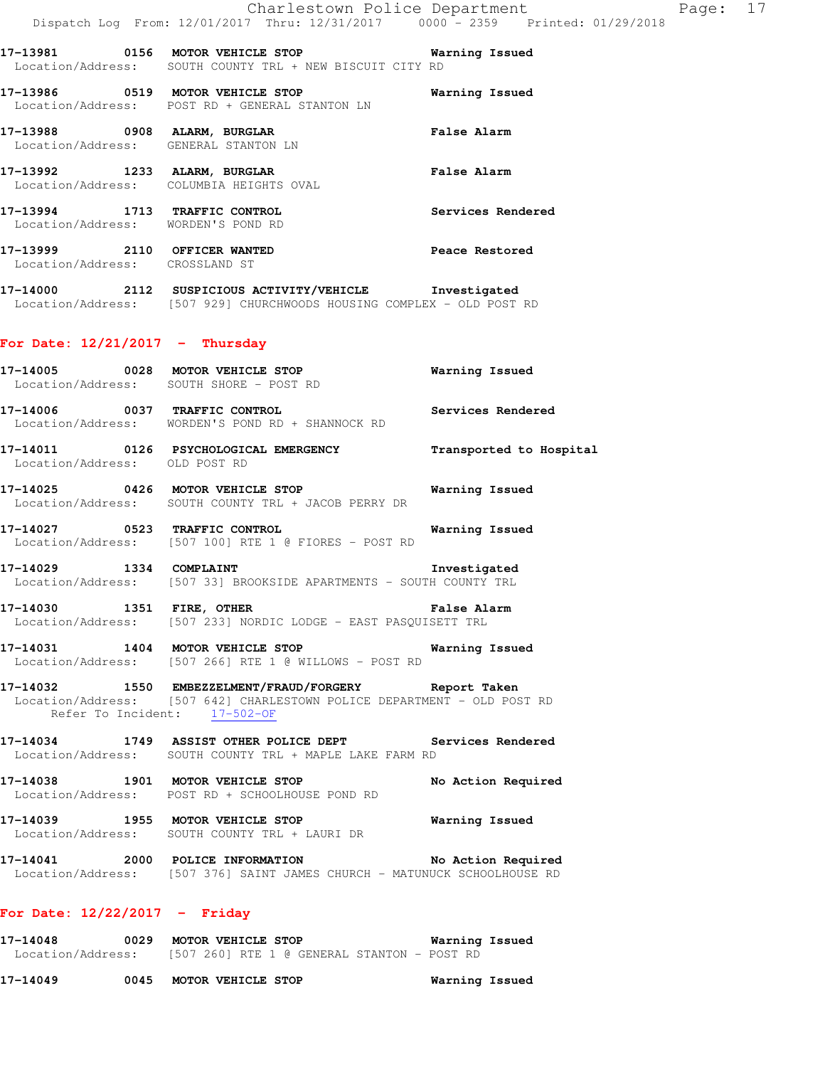**17-13981 0156 MOTOR VEHICLE STOP Warning Issued**  Location/Address: SOUTH COUNTY TRL + NEW BISCUIT CITY RD

**17-13986 0519 MOTOR VEHICLE STOP Warning Issued**  Location/Address: POST RD + GENERAL STANTON LN **17-13988 0908 ALARM, BURGLAR False Alarm**  Location/Address: GENERAL STANTON LN **17-13992 1233 ALARM, BURGLAR False Alarm**  Location/Address: COLUMBIA HEIGHTS OVAL

**17-13994 1713 TRAFFIC CONTROL Services Rendered**  Location/Address: WORDEN'S POND RD

**17-13999 2110 OFFICER WANTED Peace Restored**  Location/Address: CROSSLAND ST

**17-14000 2112 SUSPICIOUS ACTIVITY/VEHICLE Investigated**  Location/Address: [507 929] CHURCHWOODS HOUSING COMPLEX - OLD POST RD

### **For Date: 12/21/2017 - Thursday**

**17-14005 0028 MOTOR VEHICLE STOP Warning Issued**  Location/Address: SOUTH SHORE - POST RD **17-14006 0037 TRAFFIC CONTROL Services Rendered** 

Location/Address: WORDEN'S POND RD + SHANNOCK RD

**17-14011 0126 PSYCHOLOGICAL EMERGENCY Transported to Hospital**  Location/Address: OLD POST RD

**17-14025 0426 MOTOR VEHICLE STOP Warning Issued**  Location/Address: SOUTH COUNTY TRL + JACOB PERRY DR

**17-14027 0523 TRAFFIC CONTROL Warning Issued**  Location/Address: [507 100] RTE 1 @ FIORES - POST RD

**17-14029 1334 COMPLAINT Investigated**  Location/Address: [507 33] BROOKSIDE APARTMENTS - SOUTH COUNTY TRL

**17-14030 1351 FIRE, OTHER False Alarm**  Location/Address: [507 233] NORDIC LODGE - EAST PASQUISETT TRL

**17-14031 1404 MOTOR VEHICLE STOP Warning Issued**  Location/Address: [507 266] RTE 1 @ WILLOWS - POST RD

**17-14032 1550 EMBEZZELMENT/FRAUD/FORGERY Report Taken**  Location/Address: [507 642] CHARLESTOWN POLICE DEPARTMENT - OLD POST RD Refer To Incident: 17-502-OF

**17-14034 1749 ASSIST OTHER POLICE DEPT Services Rendered**  Location/Address: SOUTH COUNTY TRL + MAPLE LAKE FARM RD

**17-14038 1901 MOTOR VEHICLE STOP No Action Required**  Location/Address: POST RD + SCHOOLHOUSE POND RD

**17-14039 1955 MOTOR VEHICLE STOP Warning Issued**  Location/Address: SOUTH COUNTY TRL + LAURI DR

**17-14041 2000 POLICE INFORMATION No Action Required**  Location/Address: [507 376] SAINT JAMES CHURCH - MATUNUCK SCHOOLHOUSE RD

#### **For Date: 12/22/2017 - Friday**

**17-14048 0029 MOTOR VEHICLE STOP Warning Issued**  Location/Address: [507 260] RTE 1 @ GENERAL STANTON - POST RD

**17-14049 0045 MOTOR VEHICLE STOP Warning Issued**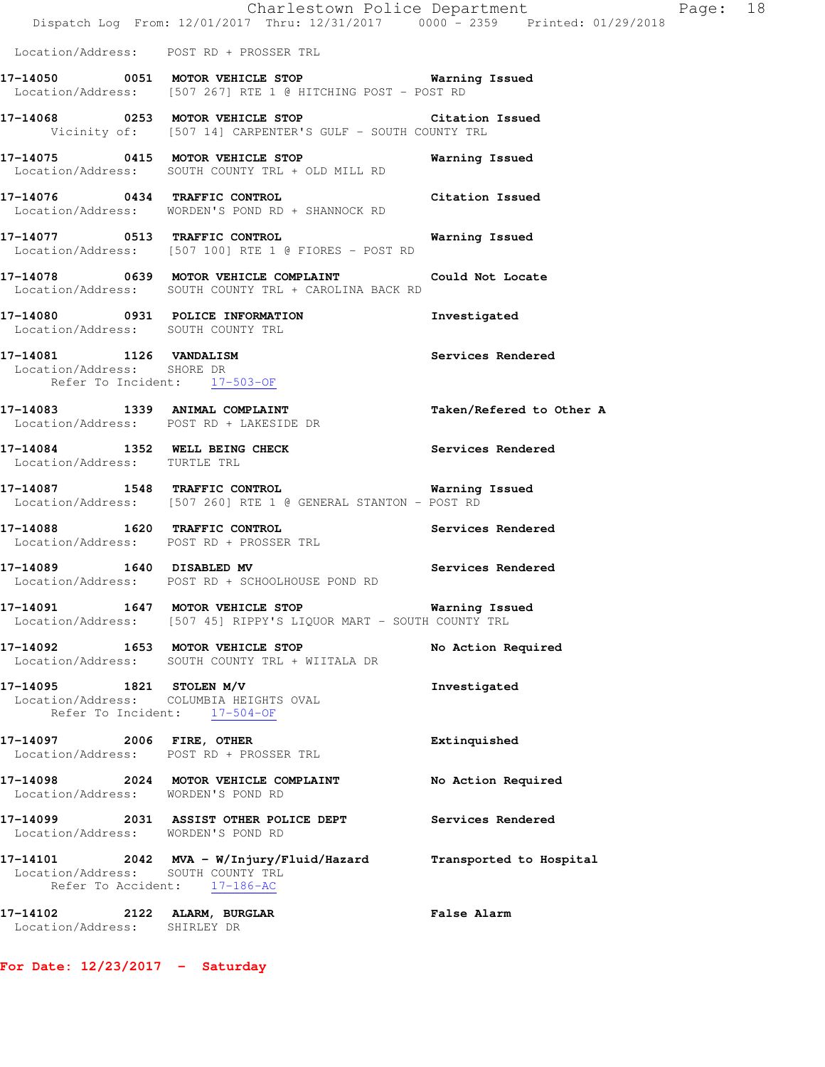|                                                              | Dispatch Log From: 12/01/2017 Thru: 12/31/2017 0000 - 2359 Printed: 01/29/2018                                         | Charlestown Police Department Fage: 18 |  |
|--------------------------------------------------------------|------------------------------------------------------------------------------------------------------------------------|----------------------------------------|--|
|                                                              | Location/Address: POST RD + PROSSER TRL                                                                                |                                        |  |
|                                                              | 17-14050 0051 MOTOR VEHICLE STOP 6 Warning Issued<br>Location/Address: [507 267] RTE 1 @ HITCHING POST - POST RD       |                                        |  |
|                                                              | 17-14068 0253 MOTOR VEHICLE STOP Citation Issued<br>Vicinity of: [507 14] CARPENTER'S GULF - SOUTH COUNTY TRL          |                                        |  |
|                                                              | 17-14075 0415 MOTOR VEHICLE STOP<br>Location/Address: SOUTH COUNTY TRL + OLD MILL RD                                   | Warning Issued                         |  |
|                                                              | 17-14076 0434 TRAFFIC CONTROL<br>Location/Address: WORDEN'S POND RD + SHANNOCK RD                                      | Citation Issued                        |  |
|                                                              | 17-14077 0513 TRAFFIC CONTROL<br>Location/Address: [507 100] RTE 1 @ FIORES - POST RD                                  | Warning Issued                         |  |
|                                                              | 17-14078 0639 MOTOR VEHICLE COMPLAINT Could Not Locate<br>Location/Address: SOUTH COUNTY TRL + CAROLINA BACK RD        |                                        |  |
| Location/Address: SOUTH COUNTY TRL                           | 17-14080 0931 POLICE INFORMATION                                                                                       | Investigated                           |  |
| Location/Address: SHORE DR<br>Refer To Incident: 17-503-OF   | 17-14081    1126    VANDALISM                                                                                          | Services Rendered                      |  |
|                                                              | 17-14083 1339 ANIMAL COMPLAINT<br>Location/Address: POST RD + LAKESIDE DR                                              | Taken/Refered to Other A               |  |
|                                                              | 17-14084 1352 WELL BEING CHECK<br>Location/Address: TURTLE TRL                                                         | Services Rendered                      |  |
|                                                              | 17-14087 1548 TRAFFIC CONTROL<br>Location/Address: [507 260] RTE 1 @ GENERAL STANTON - POST RD                         | Warning Issued                         |  |
|                                                              | 17-14088 1620 TRAFFIC CONTROL<br>Location/Address: POST RD + PROSSER TRL                                               | Services Rendered                      |  |
|                                                              | 17-14089 1640 DISABLED MV<br>Location/Address: POST RD + SCHOOLHOUSE POND RD                                           | Services Rendered                      |  |
|                                                              | 17-14091 1647 MOTOR VEHICLE STOP 6 Warning Issued<br>Location/Address: [507 45] RIPPY'S LIQUOR MART - SOUTH COUNTY TRL |                                        |  |
|                                                              | 17-14092 1653 MOTOR VEHICLE STOP<br>Location/Address: SOUTH COUNTY TRL + WIITALA DR                                    | No Action Required                     |  |
| Refer To Incident: 17-504-OF                                 | 17-14095 1821 STOLEN M/V<br>Location/Address: COLUMBIA HEIGHTS OVAL                                                    | Investigated                           |  |
| 17-14097 2006 FIRE, OTHER                                    | Location/Address: POST RD + PROSSER TRL                                                                                | Extinquished                           |  |
| Location/Address: WORDEN'S POND RD                           | 17-14098 2024 MOTOR VEHICLE COMPLAINT                                                                                  | No Action Required                     |  |
| Location/Address: WORDEN'S POND RD                           | 17-14099 2031 ASSIST OTHER POLICE DEPT                                                                                 | Services Rendered                      |  |
| Location/Address: SOUTH COUNTY TRL                           | 17-14101 2042 MVA - W/Injury/Fluid/Hazard<br>Refer To Accident: 17-186-AC                                              | Transported to Hospital                |  |
| 17-14102 2122 ALARM, BURGLAR<br>Location/Address: SHIRLEY DR |                                                                                                                        | False Alarm                            |  |

**For Date: 12/23/2017 - Saturday**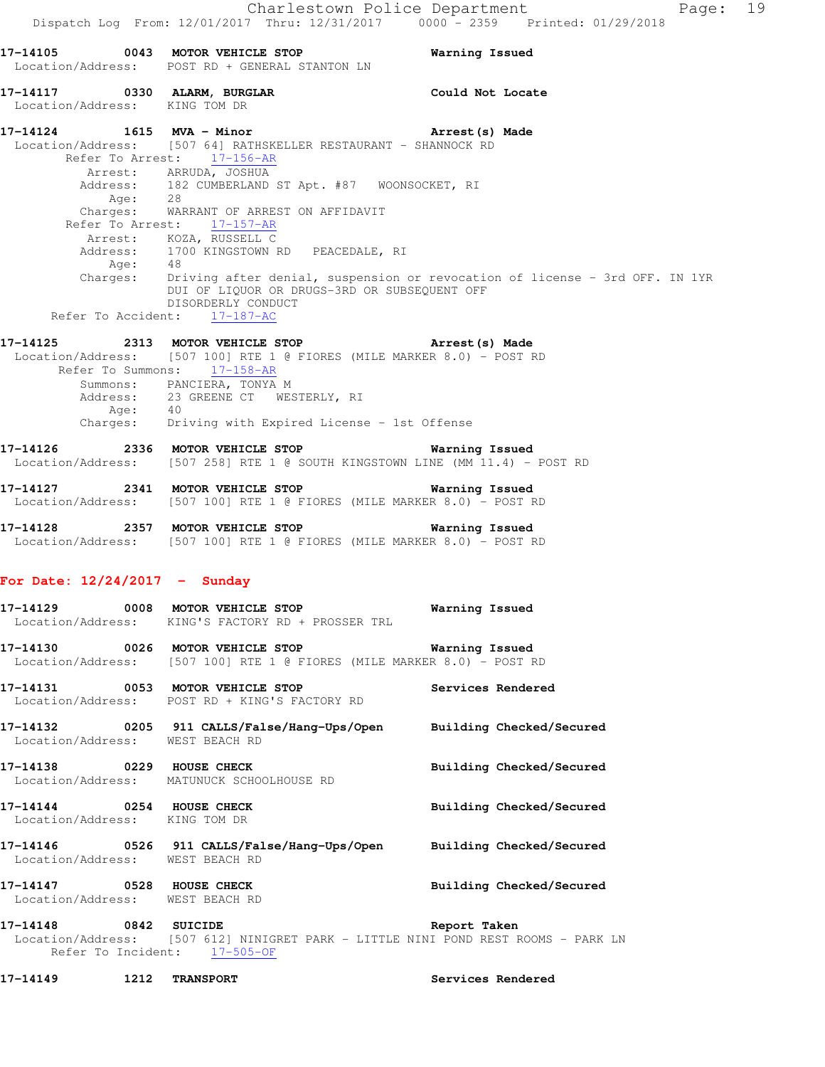**17-14105 0043 MOTOR VEHICLE STOP Warning Issued**  Location/Address: POST RD + GENERAL STANTON LN **17-14117 0330 ALARM, BURGLAR Could Not Locate**  Location/Address: KING TOM DR **17-14124 1615 MVA - Minor Arrest(s) Made**  Location/Address: [507 64] RATHSKELLER RESTAURANT - SHANNOCK RD Refer To Arrest: 17-156-AR Arrest: ARRUDA, JOSHUA<br>Address: 182 CUMBERLAND 182 CUMBERLAND ST Apt. #87 WOONSOCKET, RI Age: 28 Charges: WARRANT OF ARREST ON AFFIDAVIT Refer To Arrest: 17-157-AR Arrest: KOZA, RUSSELL C Address: 1700 KINGSTOWN RD PEACEDALE, RI<br>Add: 48 Age: Charges: Driving after denial, suspension or revocation of license - 3rd OFF. IN 1YR DUI OF LIQUOR OR DRUGS-3RD OR SUBSEQUENT OFF DISORDERLY CONDUCT Refer To Accident: 17-187-AC **17-14125 2313 MOTOR VEHICLE STOP Arrest(s) Made**  Location/Address: [507 100] RTE 1 @ FIORES (MILE MARKER 8.0) - POST RD Refer To Summons: 17-158-AR Summons: PANCIERA, TONYA M Address: 23 GREENE CT WESTERLY, RI Age: 40 Charges: Driving with Expired License - 1st Offense **17-14126 2336 MOTOR VEHICLE STOP Warning Issued**  Location/Address: [507 258] RTE 1 @ SOUTH KINGSTOWN LINE (MM 11.4) - POST RD **17-14127 2341 MOTOR VEHICLE STOP Warning Issued**  Location/Address: [507 100] RTE 1 @ FIORES (MILE MARKER 8.0) - POST RD **17-14128 2357 MOTOR VEHICLE STOP Warning Issued**  Location/Address: [507 100] RTE 1 @ FIORES (MILE MARKER 8.0) - POST RD **For Date: 12/24/2017 - Sunday 17-14129 0008 MOTOR VEHICLE STOP Warning Issued**  Location/Address: KING'S FACTORY RD + PROSSER TRL **17-14130 0026 MOTOR VEHICLE STOP Warning Issued**  Location/Address: [507 100] RTE 1 @ FIORES (MILE MARKER 8.0) - POST RD **17-14131 0053 MOTOR VEHICLE STOP Services Rendered**  Location/Address: POST RD + KING'S FACTORY RD **17-14132 0205 911 CALLS/False/Hang-Ups/Open Building Checked/Secured**  Location/Address: WEST BEACH RD **17-14138 0229 HOUSE CHECK Building Checked/Secured**  Location/Address: MATUNUCK SCHOOLHOUSE RD **17-14144 0254 HOUSE CHECK Building Checked/Secured**  Location/Address: KING TOM DR **17-14146 0526 911 CALLS/False/Hang-Ups/Open Building Checked/Secured**  Location/Address: WEST BEACH RD **17-14147 0528 HOUSE CHECK Building Checked/Secured**  Location/Address: WEST BEACH RD **17-14148 0842 SUICIDE Report Taken** 

 Location/Address: [507 612] NINIGRET PARK - LITTLE NINI POND REST ROOMS - PARK LN Refer To Incident:  $17-505-OF$ 

**17-14149 1212 TRANSPORT Services Rendered**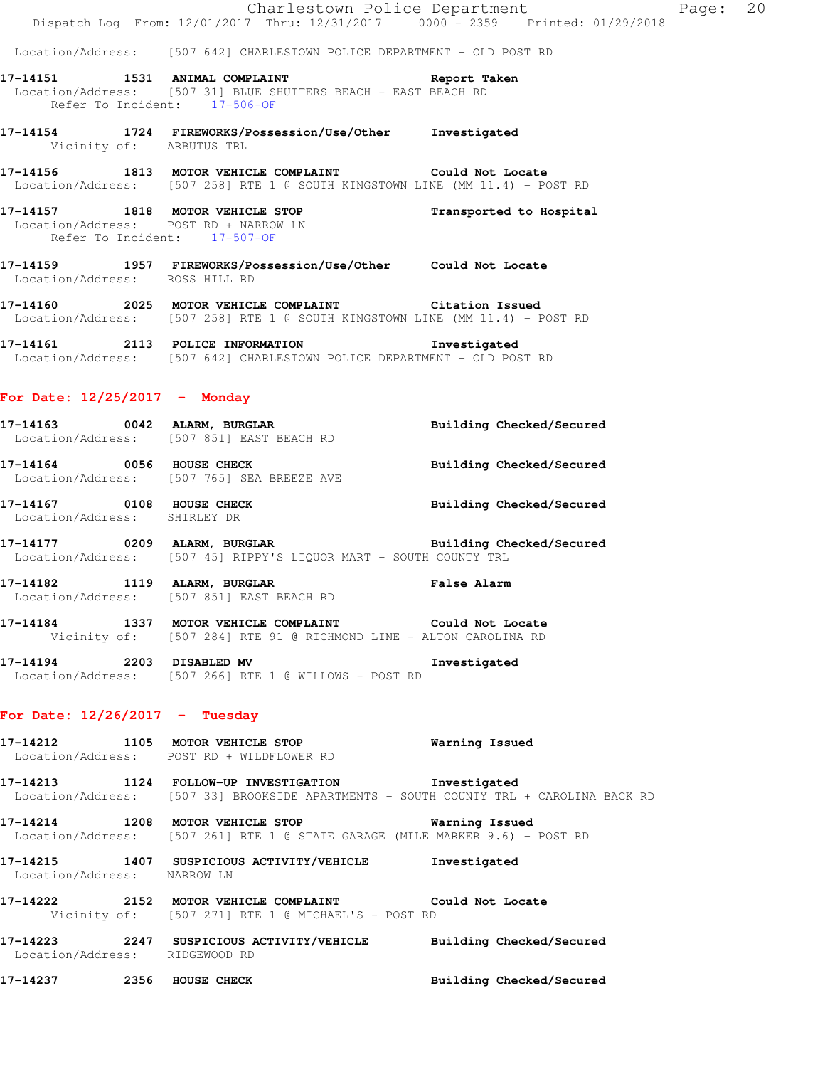|                                  | Dispatch Log From: 12/01/2017 Thru: 12/31/2017 0000 - 2359 Printed: 01/29/2018                                                                         | Charlestown Police Department | Page: 20 |  |
|----------------------------------|--------------------------------------------------------------------------------------------------------------------------------------------------------|-------------------------------|----------|--|
|                                  | Location/Address: [507 642] CHARLESTOWN POLICE DEPARTMENT - OLD POST RD                                                                                |                               |          |  |
|                                  | 17-14151 1531 ANIMAL COMPLAINT 17-14151 Report Taken<br>Location/Address: [507 31] BLUE SHUTTERS BEACH - EAST BEACH RD<br>Refer To Incident: 17-506-OF |                               |          |  |
| Vicinity of: ARBUTUS TRL         | 17-14154 1724 FIREWORKS/Possession/Use/Other Investigated                                                                                              |                               |          |  |
|                                  | 17-14156 1813 MOTOR VEHICLE COMPLAINT Could Not Locate<br>Location/Address: [507 258] RTE 1 @ SOUTH KINGSTOWN LINE (MM 11.4) - POST RD                 |                               |          |  |
|                                  | 17-14157 1818 MOTOR VEHICLE STOP<br>Location/Address: POST RD + NARROW LN<br>Refer To Incident: 17-507-OF                                              | Transported to Hospital       |          |  |
| Location/Address: ROSS HILL RD   | 17-14159 1957 FIREWORKS/Possession/Use/Other Could Not Locate                                                                                          |                               |          |  |
|                                  | 17-14160 2025 MOTOR VEHICLE COMPLAINT Citation Issued<br>Location/Address: [507 258] RTE 1 @ SOUTH KINGSTOWN LINE (MM 11.4) - POST RD                  |                               |          |  |
|                                  | 17-14161 2113 POLICE INFORMATION Investigated<br>Location/Address: [507 642] CHARLESTOWN POLICE DEPARTMENT - OLD POST RD                               |                               |          |  |
| For Date: $12/25/2017$ - Monday  |                                                                                                                                                        |                               |          |  |
|                                  | 17-14163 0042 ALARM, BURGLAR BURGER Building Checked/Secured<br>Location/Address: [507 851] EAST BEACH RD                                              |                               |          |  |
|                                  | 17-14164 0056 HOUSE CHECK<br>Location/Address: [507 765] SEA BREEZE AVE                                                                                | Building Checked/Secured      |          |  |
| Location/Address: SHIRLEY DR     | 17-14167 0108 HOUSE CHECK                                                                                                                              | Building Checked/Secured      |          |  |
|                                  | 17-14177 0209 ALARM, BURGLAR BURGER Building Checked/Secured<br>Location/Address: [507 45] RIPPY'S LIQUOR MART - SOUTH COUNTY TRL                      |                               |          |  |
| 17-14182 1119 ALARM, BURGLAR     | Location/Address: [507 851] EAST BEACH RD                                                                                                              | <b>False Alarm</b>            |          |  |
|                                  | 17-14184 1337 MOTOR VEHICLE COMPLAINT Could Not Locate<br>Vicinity of: [507 284] RTE 91 @ RICHMOND LINE - ALTON CAROLINA RD                            |                               |          |  |
|                                  | 17-14194 2203 DISABLED MV<br>Location/Address: [507 266] RTE 1 @ WILLOWS - POST RD                                                                     | Investigated                  |          |  |
| For Date: $12/26/2017$ - Tuesday |                                                                                                                                                        |                               |          |  |
|                                  | 17-14212 1105 MOTOR VEHICLE STOP<br>Location/Address: POST RD + WILDFLOWER RD                                                                          | Warning Issued                |          |  |
|                                  | 17-14213 1124 FOLLOW-UP INVESTIGATION Investigated<br>Location/Address: [507 33] BROOKSIDE APARTMENTS - SOUTH COUNTY TRL + CAROLINA BACK RD            |                               |          |  |
|                                  | 17-14214 1208 MOTOR VEHICLE STOP 5 6 Warning Issued<br>Location/Address: [507 261] RTE 1 @ STATE GARAGE (MILE MARKER 9.6) - POST RD                    |                               |          |  |
| Location/Address: NARROW LN      | 17-14215 1407 SUSPICIOUS ACTIVITY/VEHICLE Investigated                                                                                                 |                               |          |  |
|                                  | 17-14222 2152 MOTOR VEHICLE COMPLAINT Could Not Locate<br>Vicinity of: [507 271] RTE 1 @ MICHAEL'S - POST RD                                           |                               |          |  |
| Location/Address: RIDGEWOOD RD   | 17-14223 2247 SUSPICIOUS ACTIVITY/VEHICLE Building Checked/Secured                                                                                     |                               |          |  |

**17-14237 2356 HOUSE CHECK Building Checked/Secured**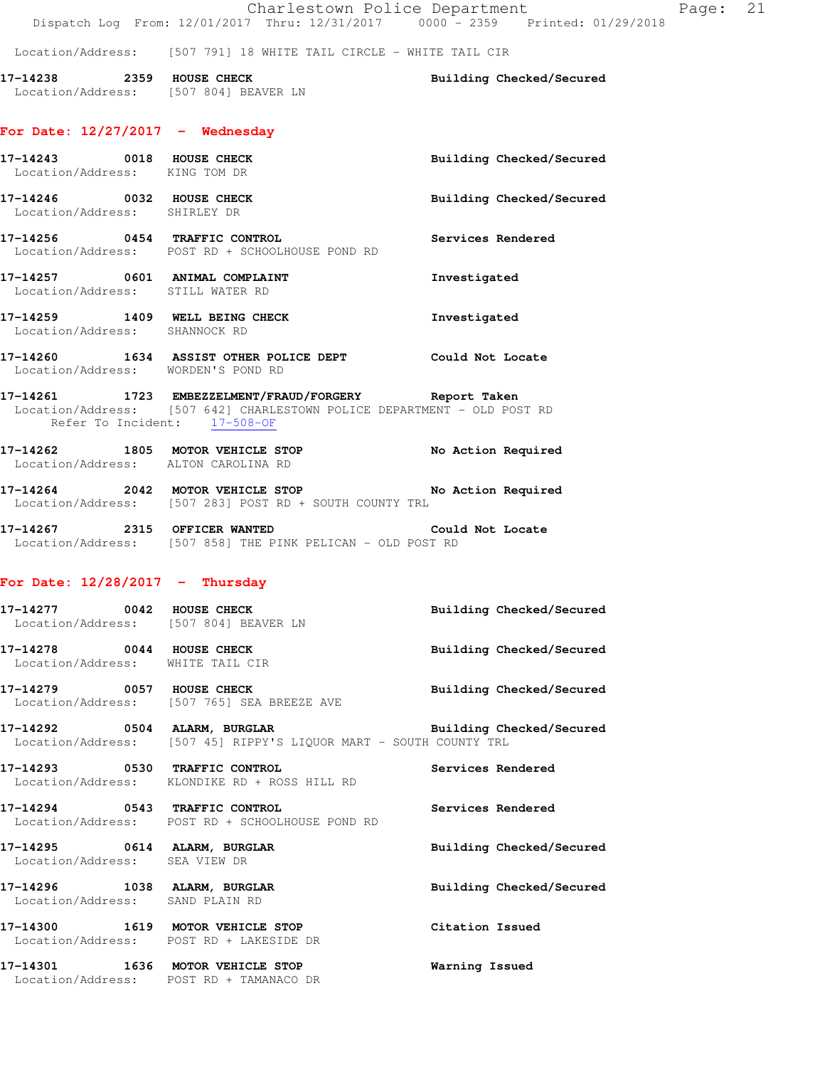Location/Address: [507 791] 18 WHITE TAIL CIRCLE - WHITE TAIL CIR

**17-14238 2359 HOUSE CHECK Building Checked/Secured**  Location/Address: [507 804] BEAVER LN

#### **For Date: 12/27/2017 - Wednesday**

| 17-14243 0018 HOUSE CHECK<br>Location/Address: KING TOM DR |                                                                                                                                                                  | Building Checked/Secured |
|------------------------------------------------------------|------------------------------------------------------------------------------------------------------------------------------------------------------------------|--------------------------|
| 17-14246 0032 HOUSE CHECK<br>Location/Address: SHIRLEY DR  |                                                                                                                                                                  | Building Checked/Secured |
|                                                            | 17-14256 0454 TRAFFIC CONTROL<br>Location/Address: POST RD + SCHOOLHOUSE POND RD                                                                                 | Services Rendered        |
|                                                            | 17-14257 0601 ANIMAL COMPLAINT<br>Location/Address: STILL WATER RD                                                                                               | Investigated             |
| Location/Address: SHANNOCK RD                              | 17-14259 1409 WELL BEING CHECK                                                                                                                                   | Investigated             |
|                                                            | $17-14260$ 1634 ASSIST OTHER POLICE DEPT<br>Location/Address: WORDEN'S POND RD                                                                                   | Could Not Locate         |
|                                                            | 17-14261 1723 EMBEZZELMENT/FRAUD/FORGERY Report Taken<br>Location/Address: [507 642] CHARLESTOWN POLICE DEPARTMENT - OLD POST RD<br>Refer To Incident: 17-508-OF |                          |
|                                                            | 17-14262 1805 MOTOR VEHICLE STOP<br>Location/Address: ALTON CAROLINA RD                                                                                          | No Action Required       |

**17-14264 2042 MOTOR VEHICLE STOP No Action Required**  Location/Address: [507 283] POST RD + SOUTH COUNTY TRL

**17-14267 2315 OFFICER WANTED Could Not Locate**  Location/Address: [507 858] THE PINK PELICAN - OLD POST RD

### **For Date: 12/28/2017 - Thursday**

| Building Checked/Secured | <b>HOUSE CHECK</b><br>Location/Address: [507 804] BEAVER LN | 0042 | 17–14277 |
|--------------------------|-------------------------------------------------------------|------|----------|
| Building Checked/Secured | <b>HOUSE CHECK</b><br>Location/Address: WHITE TAIL CIR      | 0044 | 17–14278 |
|                          |                                                             |      |          |

**17-14279 0057 HOUSE CHECK Building Checked/Secured**  Location/Address: [507 765] SEA BREEZE AVE

**17-14292 0504 ALARM, BURGLAR Building Checked/Secured**  Location/Address: [507 45] RIPPY'S LIQUOR MART - SOUTH COUNTY TRL

**17-14293 0530 TRAFFIC CONTROL Services Rendered**  Location/Address: KLONDIKE RD + ROSS HILL RD

**17-14294 0543 TRAFFIC CONTROL Services Rendered**  Location/Address: POST RD + SCHOOLHOUSE POND RD

**17-14295 0614 ALARM, BURGLAR Building Checked/Secured**  Location/Address: SEA VIEW DR

**17-14296 1038 ALARM, BURGLAR Building Checked/Secured** 

Location/Address: SAND PLAIN RD

**17-14300 1619 MOTOR VEHICLE STOP Citation Issued**  Location/Address: POST RD + LAKESIDE DR

**17-14301 1636 MOTOR VEHICLE STOP Warning Issued**  Location/Address: POST RD + TAMANACO DR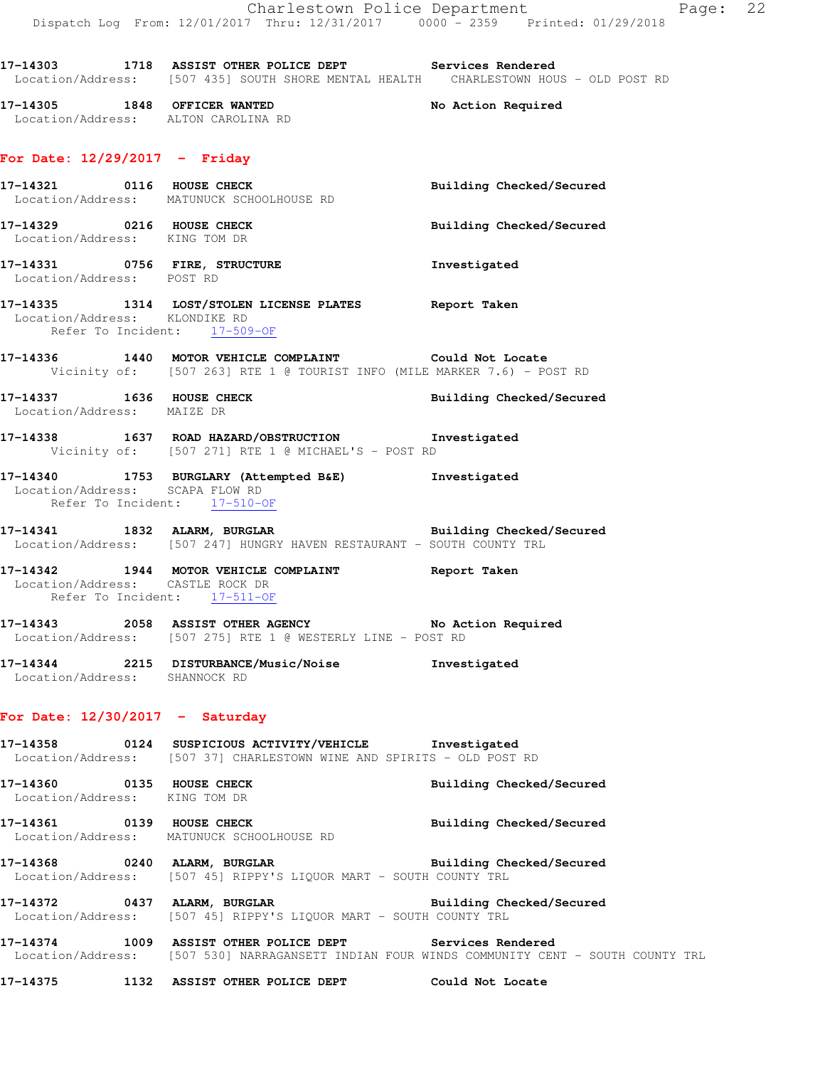**17-14305 1848 OFFICER WANTED No Action Required**  Location/Address: ALTON CAROLINA RD

### **For Date: 12/29/2017 - Friday**

|                                                                  | 17-14321 0116 HOUSE CHECK<br>Location/Address: MATUNUCK SCHOOLHOUSE RD                                                                   | Building Checked/Secured |
|------------------------------------------------------------------|------------------------------------------------------------------------------------------------------------------------------------------|--------------------------|
| 17-14329 0216 HOUSE CHECK<br>Location/Address: KING TOM DR       |                                                                                                                                          | Building Checked/Secured |
|                                                                  | 17-14331 0756 FIRE, STRUCTURE 17-14331 1nvestigated<br>Location/Address: POST RD                                                         |                          |
| Location/Address: KLONDIKE RD<br>Refer To Incident: 17-509-OF    | 17-14335 1314 LOST/STOLEN LICENSE PLATES Report Taken                                                                                    |                          |
|                                                                  | 17-14336 1440 MOTOR VEHICLE COMPLAINT Could Not Locate<br>Vicinity of: [507 263] RTE 1 @ TOURIST INFO (MILE MARKER 7.6) - POST RD        |                          |
| 17-14337 1636 HOUSE CHECK<br>Location/Address: MAIZE DR          |                                                                                                                                          | Building Checked/Secured |
|                                                                  | 17-14338 1637 ROAD HAZARD/OBSTRUCTION Investigated<br>Vicinity of: [507 271] RTE 1 @ MICHAEL'S - POST RD                                 |                          |
| Location/Address: SCAPA FLOW RD<br>Refer To Incident: 17-510-OF  | 17-14340 1753 BURGLARY (Attempted B&E) Investigated                                                                                      |                          |
|                                                                  | 17-14341 1832 ALARM, BURGLAR BURGINER Building Checked/Secured<br>Location/Address: [507 247] HUNGRY HAVEN RESTAURANT - SOUTH COUNTY TRL |                          |
| Location/Address: CASTLE ROCK DR<br>Refer To Incident: 17-511-OF | 17-14342 1944 MOTOR VEHICLE COMPLAINT Report Taken                                                                                       |                          |
|                                                                  | 17-14343 2058 ASSIST OTHER AGENCY No Action Required<br>Location/Address: [507 275] RTE 1 @ WESTERLY LINE - POST RD                      |                          |
| Location/Address: SHANNOCK RD                                    | 17-14344 2215 DISTURBANCE/Music/Noise Investigated                                                                                       |                          |
| For Date: $12/30/2017 -$ Saturday                                |                                                                                                                                          |                          |
|                                                                  | 17-14358 0124 SUSPICIOUS ACTIVITY/VEHICLE Investigated<br>Location/Address: [507 37] CHARLESTOWN WINE AND SPIRITS - OLD POST RD          |                          |
| 17-14360<br>0135 HOUSE CHECK<br>Location/Address: KING TOM DR    |                                                                                                                                          | Building Checked/Secured |
| 0139 HOUSE CHECK<br>17-14361                                     | Location/Address: MATUNUCK SCHOOLHOUSE RD                                                                                                | Building Checked/Secured |
| 17-14368                                                         | 0240 ALARM, BURGLAR<br>Location/Address: [507 45] RIPPY'S LIQUOR MART - SOUTH COUNTY TRL                                                 | Building Checked/Secured |
| 17-14372                                                         | 0437 ALARM, BURGLAR<br>Location/Address: [507 45] RIPPY'S LIQUOR MART - SOUTH COUNTY TRL                                                 | Building Checked/Secured |

**17-14374 1009 ASSIST OTHER POLICE DEPT Services Rendered**  Location/Address: [507 530] NARRAGANSETT INDIAN FOUR WINDS COMMUNITY CENT - SOUTH COUNTY TRL

**17-14375 1132 ASSIST OTHER POLICE DEPT Could Not Locate**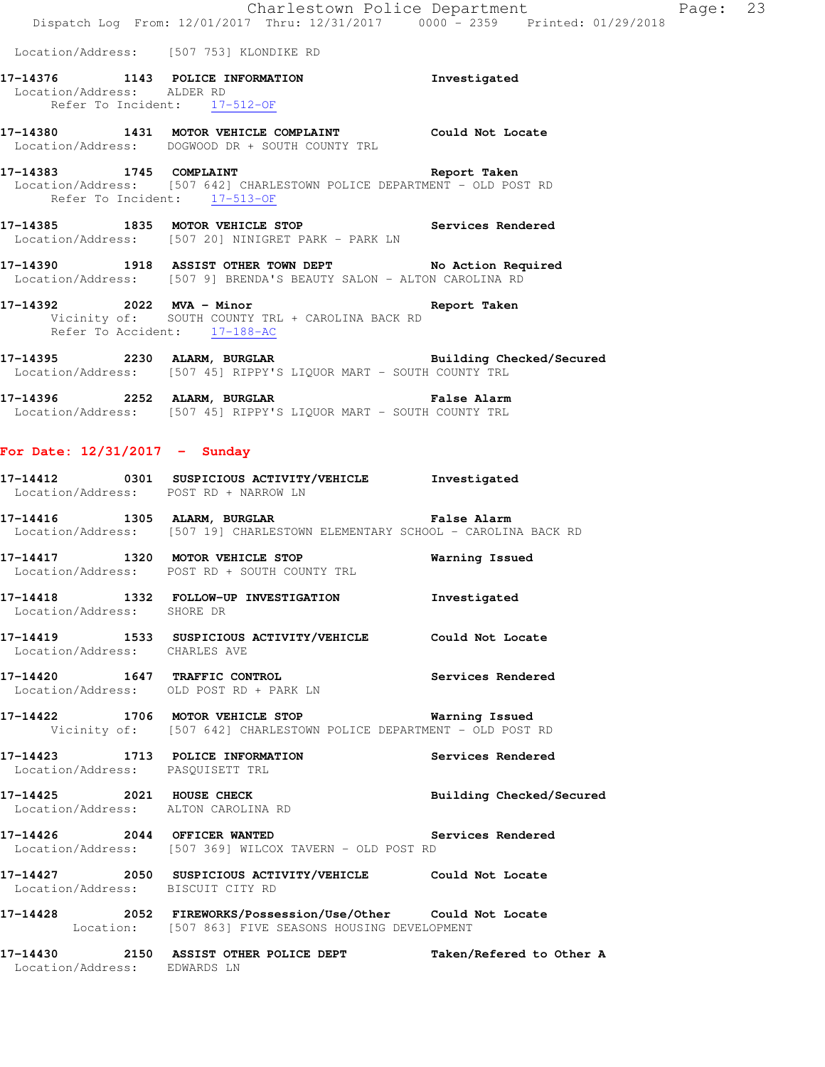|                                                         | Dispatch Log From: 12/01/2017 Thru: 12/31/2017 0000 - 2359 Printed: 01/29/2018                                                                 | Charlestown Police Department | Page: 23 |  |
|---------------------------------------------------------|------------------------------------------------------------------------------------------------------------------------------------------------|-------------------------------|----------|--|
|                                                         | Location/Address: [507 753] KLONDIKE RD                                                                                                        |                               |          |  |
| Location/Address: ALDER RD                              | 17-14376 1143 POLICE INFORMATION<br>Refer To Incident: 17-512-OF                                                                               | Investigated                  |          |  |
|                                                         | 17-14380 1431 MOTOR VEHICLE COMPLAINT Could Not Locate<br>Location/Address: DOGWOOD DR + SOUTH COUNTY TRL                                      |                               |          |  |
| 17-14383 1745 COMPLAINT<br>Refer To Incident: 17-513-OF | <b>Example 21 AM</b> Report Taken<br>Location/Address: [507 642] CHARLESTOWN POLICE DEPARTMENT - OLD POST RD                                   |                               |          |  |
|                                                         | 17-14385 1835 MOTOR VEHICLE STOP Services Rendered<br>Location/Address: [507 20] NINIGRET PARK - PARK LN                                       |                               |          |  |
|                                                         | 17-14390 1918 ASSIST OTHER TOWN DEPT No Action Required<br>Location/Address: [507 9] BRENDA'S BEAUTY SALON - ALTON CAROLINA RD                 |                               |          |  |
|                                                         | 17-14392 2022 MVA - Minor Changes and Report Taken<br>Vicinity of: SOUTH COUNTY TRL + CAROLINA BACK RD<br>Refer To Accident: 17-188-AC         |                               |          |  |
|                                                         | 17-14395 2230 ALARM, BURGLAR <b>Example 2018</b> Building Checked/Secured<br>Location/Address: [507 45] RIPPY'S LIQUOR MART - SOUTH COUNTY TRL |                               |          |  |
|                                                         | 17-14396 2252 ALARM, BURGLAR<br>Location/Address: [507 45] RIPPY'S LIQUOR MART - SOUTH COUNTY TRL                                              | <b>False Alarm</b>            |          |  |
| For Date: $12/31/2017 -$ Sunday                         |                                                                                                                                                |                               |          |  |
|                                                         | 17-14412 0301 SUSPICIOUS ACTIVITY/VEHICLE Investigated<br>Location/Address: POST RD + NARROW LN                                                |                               |          |  |
|                                                         | 17-14416 1305 ALARM, BURGLAR 17-14416 False Alarm<br>Location/Address: [507 19] CHARLESTOWN ELEMENTARY SCHOOL - CAROLINA BACK RD               |                               |          |  |
|                                                         | 17-14417 1320 MOTOR VEHICLE STOP<br>Location/Address: POST RD + SOUTH COUNTY TRL                                                               | Warning Issued                |          |  |
| Location/Address: SHORE DR                              | 17-14418 1332 FOLLOW-UP INVESTIGATION Investigated                                                                                             |                               |          |  |
| Location/Address: CHARLES AVE                           | 17-14419 1533 SUSPICIOUS ACTIVITY/VEHICLE Could Not Locate                                                                                     |                               |          |  |
|                                                         | 17-14420 1647 TRAFFIC CONTROL<br>Location/Address: OLD POST RD + PARK LN                                                                       | Services Rendered             |          |  |
|                                                         | 17-14422 1706 MOTOR VEHICLE STOP <b>Warning Issued</b><br>Vicinity of: [507 642] CHARLESTOWN POLICE DEPARTMENT - OLD POST RD                   |                               |          |  |
| Location/Address: PASQUISETT TRL                        | 17-14423 1713 POLICE INFORMATION                                                                                                               | Services Rendered             |          |  |
|                                                         | 17-14425 2021 HOUSE CHECK<br>Location/Address: ALTON CAROLINA RD                                                                               | Building Checked/Secured      |          |  |
|                                                         | 17-14426 2044 OFFICER WANTED Services Rendered<br>Location/Address: [507 369] WILCOX TAVERN - OLD POST RD                                      |                               |          |  |
| Location/Address: BISCUIT CITY RD                       | 17-14427 2050 SUSPICIOUS ACTIVITY/VEHICLE Could Not Locate                                                                                     |                               |          |  |
|                                                         | 17-14428 2052 FIREWORKS/Possession/Use/Other Could Not Locate<br>Location: [507 863] FIVE SEASONS HOUSING DEVELOPMENT                          |                               |          |  |
| Location/Address: EDWARDS LN                            | 17-14430 2150 ASSIST OTHER POLICE DEPT                                                                                                         | Taken/Refered to Other A      |          |  |
|                                                         |                                                                                                                                                |                               |          |  |